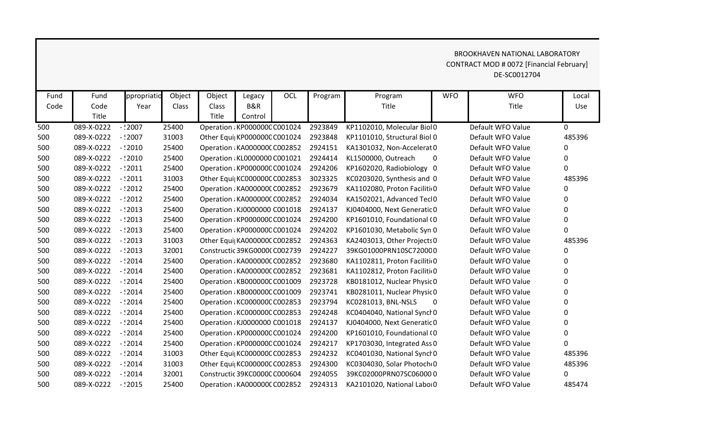## BROOKHAVEN NATIONAL LABORATORY CONTRACT MOD # 0072 [Financial February] DE-SC0012704

| Fund | Fund       | ppropriatio | Object | Object | Legacy                        | OCL | Program | Program                      | <b>WFO</b>   | <b>WFO</b>        | Local       |
|------|------------|-------------|--------|--------|-------------------------------|-----|---------|------------------------------|--------------|-------------------|-------------|
| Code | Code       | Year        | Class  | Class  | <b>B&amp;R</b>                |     |         | Title                        |              | Title             | Use         |
|      | Title      |             |        | Title  | Control                       |     |         |                              |              |                   |             |
| 500  | 089-X-0222 | $-$ :2007   | 25400  |        | Operation : KP000000C C001024 |     | 2923849 | KP1102010, Molecular Biol0   |              | Default WFO Value | $\Omega$    |
| 500  | 089-X-0222 | $-$ :2007   | 31003  |        | Other Equi  KP000000C C001024 |     | 2923848 | KP1101010, Structural Biol 0 |              | Default WFO Value | 485396      |
| 500  | 089-X-0222 | $-2010$     | 25400  |        | Operation : KA0000000 C002852 |     | 2924151 | KA1301032, Non-Accelerat 0   |              | Default WFO Value | $\Omega$    |
| 500  | 089-X-0222 | $-2010$     | 25400  |        | Operation : KL0000000 C001021 |     | 2924414 | KL1500000, Outreach          | $\mathbf{0}$ | Default WFO Value | 0           |
| 500  | 089-X-0222 | $-2011$     | 25400  |        | Operation: KP000000C C001024  |     | 2924206 | KP1602020, Radiobiology 0    |              | Default WFO Value | $\Omega$    |
| 500  | 089-X-0222 | $-2011$     | 31003  |        | Other Equi  KC000000C C002853 |     | 3023325 | KC0203020, Synthesis and 0   |              | Default WFO Value | 485396      |
| 500  | 089-X-0222 | $-2012$     | 25400  |        | Operation : KA0000000 C002852 |     | 2923679 | KA1102080, Proton Faciliti 0 |              | Default WFO Value | 0           |
| 500  | 089-X-0222 | $-2012$     | 25400  |        | Operation : KA0000000 C002852 |     | 2924034 | KA1502021, Advanced TeclO    |              | Default WFO Value | 0           |
| 500  | 089-X-0222 | $-2013$     | 25400  |        | Operation : KJ0000000 C001018 |     | 2924137 | KJ0404000, Next Generatic 0  |              | Default WFO Value | 0           |
| 500  | 089-X-0222 | $-$ :2013   | 25400  |        | Operation: KP000000C C001024  |     | 2924200 | KP1601010, Foundational (0   |              | Default WFO Value | $\Omega$    |
| 500  | 089-X-0222 | $-2013$     | 25400  |        | Operation: KP000000C C001024  |     | 2924202 | KP1601030, Metabolic Syn 0   |              | Default WFO Value | $\Omega$    |
| 500  | 089-X-0222 | $-12013$    | 31003  |        | Other Equi  KA000000C C002852 |     | 2924363 | KA2403013, Other Projects 0  |              | Default WFO Value | 485396      |
| 500  | 089-X-0222 | $-$ :2013   | 32001  |        | Constructic 39KG0000(C002739  |     | 2924227 | 39KG01000PRN10SC720000       |              | Default WFO Value | 0           |
| 500  | 089-X-0222 | $-2014$     | 25400  |        | Operation : KA000000C C002852 |     | 2923680 | KA1102811, Proton Faciliti 0 |              | Default WFO Value | 0           |
| 500  | 089-X-0222 | $-$ :2014   | 25400  |        | Operation: KA000000C C002852  |     | 2923681 | KA1102812, Proton Faciliti 0 |              | Default WFO Value | 0           |
| 500  | 089-X-0222 | $-$ :2014   | 25400  |        | Operation: KB000000C C001009  |     | 2923728 | KB0181012, Nuclear Physic 0  |              | Default WFO Value | 0           |
| 500  | 089-X-0222 | $-$ :2014   | 25400  |        | Operation: KB000000C C001009  |     | 2923741 | KB0281011, Nuclear Physic 0  |              | Default WFO Value | 0           |
| 500  | 089-X-0222 | $-2014$     | 25400  |        | Operation: KC000000C C002853  |     | 2923794 | KC0281013, BNL-NSLS          | $\mathbf{0}$ | Default WFO Value | 0           |
| 500  | 089-X-0222 | $-2014$     | 25400  |        | Operation: KC000000C C002853  |     | 2924248 | KC0404040, National Synch 0  |              | Default WFO Value | $\Omega$    |
| 500  | 089-X-0222 | $-$ :2014   | 25400  |        | Operation : KJ0000000 C001018 |     | 2924137 | KJ0404000, Next Generatic 0  |              | Default WFO Value | 0           |
| 500  | 089-X-0222 | $-$ :2014   | 25400  |        | Operation: KP000000C C001024  |     | 2924200 | KP1601010, Foundational (0   |              | Default WFO Value | $\mathbf 0$ |
| 500  | 089-X-0222 | $-2014$     | 25400  |        | Operation: KP000000C C001024  |     | 2924217 | KP1703030, Integrated Ass 0  |              | Default WFO Value | $\Omega$    |
| 500  | 089-X-0222 | $-$ :2014   | 31003  |        | Other Equi  KC000000C C002853 |     | 2924232 | KC0401030, National Synch0   |              | Default WFO Value | 485396      |
| 500  | 089-X-0222 | $-2014$     | 31003  |        | Other Equi  KC000000C C002853 |     | 2924300 | KC0304030, Solar Photoch 0   |              | Default WFO Value | 485396      |
| 500  | 089-X-0222 | $-2014$     | 32001  |        | Constructic 39KC0000C C000604 |     | 2924055 | 39KC02000PRN07SC060000       |              | Default WFO Value | 0           |
| 500  | 089-X-0222 | $-$ :2015   | 25400  |        | Operation : KA000000C C002852 |     | 2924313 | KA2101020, National Labor0   |              | Default WFO Value | 485474      |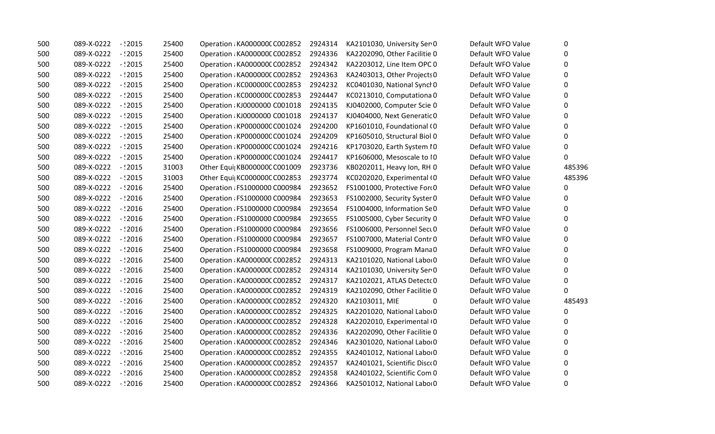| 500 | 089-X-0222 | $-$ :2015  | 25400 | Operation: KA000000C C002852  | 2924314 | KA2101030, University Ser 0  | Default WFO Value | 0        |
|-----|------------|------------|-------|-------------------------------|---------|------------------------------|-------------------|----------|
| 500 | 089-X-0222 | $-$ :2015  | 25400 | Operation : KA000000C C002852 | 2924336 | KA2202090, Other Facilitie 0 | Default WFO Value | 0        |
| 500 | 089-X-0222 | $-$ :2015  | 25400 | Operation: KA000000C C002852  | 2924342 | KA2203012, Line Item OPC 0   | Default WFO Value | 0        |
| 500 | 089-X-0222 | $-$ : 2015 | 25400 | Operation: KA000000C C002852  | 2924363 | KA2403013, Other Projects 0  | Default WFO Value | 0        |
| 500 | 089-X-0222 | $-2015$    | 25400 | Operation: KC000000C C002853  | 2924232 | KC0401030, National Synch 0  | Default WFO Value | $\Omega$ |
| 500 | 089-X-0222 | $-$ : 2015 | 25400 | Operation: KC000000C C002853  | 2924447 | KC0213010, Computationa 0    | Default WFO Value | 0        |
| 500 | 089-X-0222 | $-12015$   | 25400 | Operation : KJ0000000 C001018 | 2924135 | KJ0402000, Computer Scie 0   | Default WFO Value | 0        |
| 500 | 089-X-0222 | $-$ :2015  | 25400 | Operation : KJ0000000 C001018 | 2924137 | KJ0404000, Next Generatic 0  | Default WFO Value | 0        |
| 500 | 089-X-0222 | $-$ : 2015 | 25400 | Operation: KP000000C C001024  | 2924200 | KP1601010, Foundational (0   | Default WFO Value | 0        |
| 500 | 089-X-0222 | $-$ : 2015 | 25400 | Operation: KP000000C C001024  | 2924209 | KP1605010, Structural Biol 0 | Default WFO Value | 0        |
| 500 | 089-X-0222 | $-$ : 2015 | 25400 | Operation: KP000000C C001024  | 2924216 | KP1703020, Earth System IO   | Default WFO Value | 0        |
| 500 | 089-X-0222 | $-12015$   | 25400 | Operation: KP000000C C001024  | 2924417 | KP1606000, Mesoscale to I0   | Default WFO Value | 0        |
| 500 | 089-X-0222 | $-$ : 2015 | 31003 | Other Equi  KB000000C C001009 | 2923736 | KB0202011, Heavy Ion, RH 0   | Default WFO Value | 485396   |
| 500 | 089-X-0222 | $-$ :2015  | 31003 | Other Equi KC000000C C002853  | 2923774 | KC0202020, Experimental (0   | Default WFO Value | 485396   |
| 500 | 089-X-0222 | $-$ : 2016 | 25400 | Operation : FS1000000 C000984 | 2923652 | FS1001000, Protective Ford0  | Default WFO Value | 0        |
| 500 | 089-X-0222 | $-12016$   | 25400 | Operation : FS1000000 C000984 | 2923653 | FS1002000, Security Syster 0 | Default WFO Value | 0        |
| 500 | 089-X-0222 | $-$ : 2016 | 25400 | Operation : FS1000000 C000984 | 2923654 | FS1004000, Information Se0   | Default WFO Value | 0        |
| 500 | 089-X-0222 | $-$ : 2016 | 25400 | Operation : FS1000000 C000984 | 2923655 | FS1005000, Cyber Security 0  | Default WFO Value | 0        |
| 500 | 089-X-0222 | $-2016$    | 25400 | Operation : FS1000000 C000984 | 2923656 | FS1006000, Personnel Sect 0  | Default WFO Value | 0        |
| 500 | 089-X-0222 | $-$ :2016  | 25400 | Operation : FS1000000 C000984 | 2923657 | FS1007000, Material Contr 0  | Default WFO Value | 0        |
| 500 | 089-X-0222 | $-$ :2016  | 25400 | Operation : FS1000000 C000984 | 2923658 | FS1009000, Program Mana0     | Default WFO Value | 0        |
| 500 | 089-X-0222 | $-$ : 2016 | 25400 | Operation: KA000000C C002852  | 2924313 | KA2101020, National Labor 0  | Default WFO Value | 0        |
| 500 | 089-X-0222 | $-$ :2016  | 25400 | Operation: KA000000C C002852  | 2924314 | KA2101030, University Ser 0  | Default WFO Value | $\Omega$ |
| 500 | 089-X-0222 | $-$ : 2016 | 25400 | Operation : KA000000C C002852 | 2924317 | KA2102021, ATLAS Detecto 0   | Default WFO Value | 0        |
| 500 | 089-X-0222 | $-$ : 2016 | 25400 | Operation: KA000000C C002852  | 2924319 | KA2102090, Other Facilitie 0 | Default WFO Value | 0        |
| 500 | 089-X-0222 | $-$ :2016  | 25400 | Operation: KA000000C C002852  | 2924320 | KA2103011, MIE<br>0          | Default WFO Value | 485493   |
| 500 | 089-X-0222 | $-$ 2016   | 25400 | Operation : KA000000C C002852 | 2924325 | KA2201020, National Laboi 0  | Default WFO Value | 0        |
| 500 | 089-X-0222 | $-$ :2016  | 25400 | Operation: KA000000C C002852  | 2924328 | KA2202010, Experimental (0   | Default WFO Value | 0        |
| 500 | 089-X-0222 | $-$ :2016  | 25400 | Operation: KA000000C C002852  | 2924336 | KA2202090, Other Facilitie 0 | Default WFO Value | 0        |
| 500 | 089-X-0222 | $-12016$   | 25400 | Operation: KA000000C C002852  | 2924346 | KA2301020, National Labor 0  | Default WFO Value | 0        |
| 500 | 089-X-0222 | $-$ :2016  | 25400 | Operation: KA000000C C002852  | 2924355 | KA2401012, National Labor 0  | Default WFO Value | 0        |
| 500 | 089-X-0222 | $-$ :2016  | 25400 | Operation : KA000000C C002852 | 2924357 | KA2401021, Scientific Disco0 | Default WFO Value | $\Omega$ |
| 500 | 089-X-0222 | $-$ :2016  | 25400 | Operation : KA000000C C002852 | 2924358 | KA2401022, Scientific Com 0  | Default WFO Value | $\Omega$ |
| 500 | 089-X-0222 | $-$ :2016  | 25400 | Operation : KA000000C C002852 | 2924366 | KA2501012, National Labo 0   | Default WFO Value | 0        |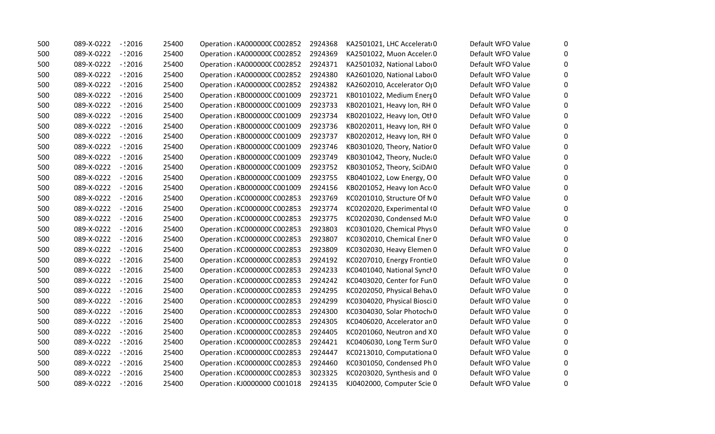| 500 | 089-X-0222        | $-$ :2016  | 25400 | Operation: KA000000C C002852  | 2924368 | KA2501021, LHC Accelerat 0   | Default WFO Value | 0            |
|-----|-------------------|------------|-------|-------------------------------|---------|------------------------------|-------------------|--------------|
| 500 | 089-X-0222        | $-2016$    | 25400 | Operation: KA0000000 C002852  | 2924369 | KA2501022, Muon Acceler 0    | Default WFO Value | 0            |
| 500 | 089-X-0222        | - 2016 -   | 25400 | Operation: KA000000C C002852  | 2924371 | KA2501032, National Labor 0  | Default WFO Value | 0            |
| 500 | 089-X-0222        | $-$ : 2016 | 25400 | Operation: KA000000C C002852  | 2924380 | KA2601020, National Labor 0  | Default WFO Value | $\mathbf{0}$ |
| 500 | 089-X-0222        | $-12016$   | 25400 | Operation: KA000000C C002852  | 2924382 | KA2602010, Accelerator OI0   | Default WFO Value | $\mathbf{0}$ |
| 500 | 089-X-0222        | $-$ : 2016 | 25400 | Operation: KB000000C C001009  | 2923721 | KB0101022, Medium Energ 0    | Default WFO Value | 0            |
| 500 | 089-X-0222        | $-$ : 2016 | 25400 | Operation: KB000000C C001009  | 2923733 | KB0201021, Heavy Ion, RH 0   | Default WFO Value | $\mathbf{0}$ |
| 500 | 089-X-0222        | -12016     | 25400 | Operation: KB000000C C001009  | 2923734 | KB0201022, Heavy Ion, Otl 0  | Default WFO Value | $\mathbf{0}$ |
| 500 | 089-X-0222        | $-$ :2016  | 25400 | Operation: KB000000C C001009  | 2923736 | KB0202011, Heavy Ion, RH 0   | Default WFO Value | 0            |
| 500 | 089-X-0222        | $-$ : 2016 | 25400 | Operation: KB000000C C001009  | 2923737 | KB0202012, Heavy Ion, RH 0   | Default WFO Value | $\mathbf{0}$ |
| 500 | 089-X-0222        | - 2016 -   | 25400 | Operation: KB000000C C001009  | 2923746 | KB0301020, Theory, Natior 0  | Default WFO Value | $\mathbf 0$  |
| 500 | 089-X-0222        | $-$ : 2016 | 25400 | Operation: KB000000C C001009  | 2923749 | KB0301042, Theory, Nuclei 0  | Default WFO Value | $\mathbf{0}$ |
| 500 | 089-X-0222        | - : 2016   | 25400 | Operation: KB000000C C001009  | 2923752 | KB0301052, Theory, SciDA(0   | Default WFO Value | $\mathbf{0}$ |
| 500 | 089-X-0222        | - 2016 -   | 25400 | Operation: KB000000C C001009  | 2923755 | KB0401022, Low Energy, OO    | Default WFO Value | $\Omega$     |
| 500 | 089-X-0222        | $-$ :2016  | 25400 | Operation : KB000000C C001009 | 2924156 | KB0201052, Heavy Ion Acc 0   | Default WFO Value | $\Omega$     |
| 500 | 089-X-0222        | $-$ :2016  | 25400 | Operation: KC000000C C002853  | 2923769 | KC0201010, Structure Of NO   | Default WFO Value | 0            |
| 500 | 089-X-0222        | - 2016 -   | 25400 | Operation: KC000000C C002853  | 2923774 | KC0202020, Experimental (0   | Default WFO Value | $\mathbf{0}$ |
| 500 | 089-X-0222        | $-$ :2016  | 25400 | Operation : KC000000C C002853 | 2923775 | KC0202030, Condensed Mi0     | Default WFO Value | $\mathbf{0}$ |
| 500 | 089-X-0222        | - 2016 -   | 25400 | Operation: KC000000C C002853  | 2923803 | KC0301020, Chemical Phys 0   | Default WFO Value | $\mathbf{0}$ |
| 500 | 089-X-0222        | $-$ :2016  | 25400 | Operation: KC000000C C002853  | 2923807 | KC0302010, Chemical Ener 0   | Default WFO Value | 0            |
| 500 | 089-X-0222        | $-$ :2016  | 25400 | Operation: KC000000C C002853  | 2923809 | KC0302030, Heavy Elemen 0    | Default WFO Value | 0            |
| 500 | 089-X-0222        | - 2016 -   | 25400 | Operation: KC000000C C002853  | 2924192 | KC0207010, Energy Frontie 0  | Default WFO Value | $\mathbf{0}$ |
| 500 | 089-X-0222        | $-$ : 2016 | 25400 | Operation: KC000000C C002853  | 2924233 | KC0401040, National Synch0   | Default WFO Value | $\mathbf{0}$ |
| 500 | 089-X-0222        | - : 2016   | 25400 | Operation: KC000000C C002853  | 2924242 | KC0403020, Center for Fun 0  | Default WFO Value | $\mathbf{0}$ |
| 500 | 089-X-0222        | - 2016 -   | 25400 | Operation: KC000000C C002853  | 2924295 | KC0202050, Physical Behav0   | Default WFO Value | 0            |
| 500 | 089-X-0222        | $-$ : 2016 | 25400 | Operation: KC000000C C002853  | 2924299 | KC0304020, Physical Biosci 0 | Default WFO Value | $\mathbf{0}$ |
| 500 | 089-X-0222        | - 12016    | 25400 | Operation: KC000000C C002853  | 2924300 | KC0304030, Solar Photoch 0   | Default WFO Value | $\mathbf{0}$ |
| 500 | 089-X-0222        | $-$ :2016  | 25400 | Operation : KC000000C C002853 | 2924305 | KC0406020, Accelerator an 0  | Default WFO Value | 0            |
| 500 | 089-X-0222        | - 2016 -   | 25400 | Operation: KC000000C C002853  | 2924405 | KC0201060, Neutron and X0    | Default WFO Value | 0            |
| 500 | 089-X-0222        | $-2016$    | 25400 | Operation: KC000000C C002853  | 2924421 | KC0406030, Long Term Sur 0   | Default WFO Value | $\mathbf{0}$ |
| 500 | 089-X-0222        | $-$ : 2016 | 25400 | Operation: KC000000C C002853  | 2924447 | KC0213010, Computationa 0    | Default WFO Value | 0            |
| 500 | 089-X-0222        | $-$ : 2016 | 25400 | Operation : KC000000C C002853 | 2924460 | KC0301050, Condensed Ph 0    | Default WFO Value | 0            |
| 500 | 089-X-0222        | $-$ :2016  | 25400 | Operation : KC000000C C002853 | 3023325 | KC0203020, Synthesis and 0   | Default WFO Value | $\mathbf{0}$ |
| 500 | 089-X-0222 - 2016 |            | 25400 | Operation : KJ0000000 C001018 | 2924135 | KJ0402000, Computer Scie 0   | Default WFO Value | 0            |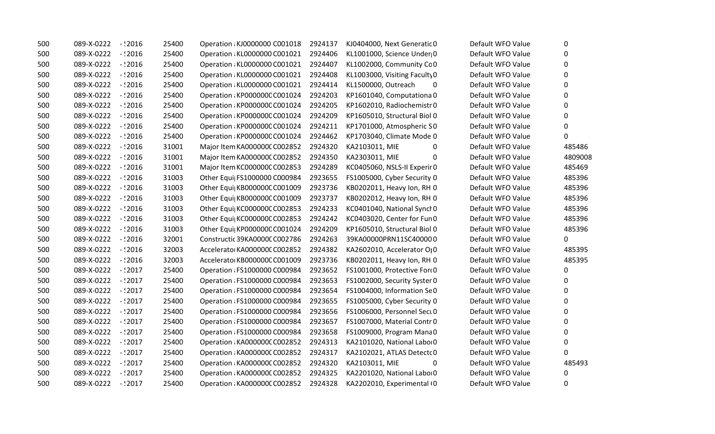| 500 | $-$ : 2016<br>089-X-0222 | 25400 | Operation: KJ0000000 C001018  | 2924137 | KJ0404000, Next Generatic 0   | Default WFO Value | 0        |
|-----|--------------------------|-------|-------------------------------|---------|-------------------------------|-------------------|----------|
| 500 | 089-X-0222<br>$-$ : 2016 | 25400 | Operation : KL0000000 C001021 | 2924406 | KL1001000, Science Under 0    | Default WFO Value | 0        |
| 500 | 089-X-0222 - :2016       | 25400 | Operation : KL0000000 C001021 | 2924407 | KL1002000, Community Cc 0     | Default WFO Value | 0        |
| 500 | 089-X-0222<br>$-$ :2016  | 25400 | Operation : KL0000000 C001021 | 2924408 | KL1003000, Visiting Faculty 0 | Default WFO Value | $\Omega$ |
| 500 | 089-X-0222<br>-12016     | 25400 | Operation : KL0000000 C001021 | 2924414 | KL1500000, Outreach<br>0      | Default WFO Value | 0        |
| 500 | 089-X-0222<br>$-$ : 2016 | 25400 | Operation: KP000000C C001024  | 2924203 | KP1601040, Computationa 0     | Default WFO Value | 0        |
| 500 | 089-X-0222<br>$-$ :2016  | 25400 | Operation: KP000000C C001024  | 2924205 | KP1602010, Radiochemistr 0    | Default WFO Value | 0        |
| 500 | 089-X-0222<br>$-$ : 2016 | 25400 | Operation: KP000000C C001024  | 2924209 | KP1605010, Structural Biol 0  | Default WFO Value | 0        |
| 500 | 089-X-0222<br>$-$ : 2016 | 25400 | Operation: KP000000C C001024  | 2924211 | KP1701000, Atmospheric SO     | Default WFO Value | 0        |
| 500 | 089-X-0222<br>$-$ :2016  | 25400 | Operation: KP000000C C001024  | 2924462 | KP1703040, Climate Mode 0     | Default WFO Value | 0        |
| 500 | 089-X-0222<br>$-$ : 2016 | 31001 | Major Item KA000000C C002852  | 2924320 | KA2103011, MIE<br>0           | Default WFO Value | 485486   |
| 500 | 089-X-0222<br>$-$ :2016  | 31001 | Major Item KA000000C C002852  | 2924350 | KA2303011, MIE<br>0           | Default WFO Value | 4809008  |
| 500 | 089-X-0222<br>$-2016$    | 31001 | Major Item KC000000C C002853  | 2924289 | KC0405060, NSLS-II Experir 0  | Default WFO Value | 485469   |
| 500 | 089-X-0222<br>$-$ : 2016 | 31003 | Other Equi  FS1000000 C000984 | 2923655 | FS1005000, Cyber Security 0   | Default WFO Value | 485396   |
| 500 | 089-X-0222<br>$-$ :2016  | 31003 | Other Equi  KB000000C C001009 | 2923736 | KB0202011, Heavy Ion, RH 0    | Default WFO Value | 485396   |
| 500 | 089-X-0222<br>$-$ : 2016 | 31003 | Other Equi  KB000000C C001009 | 2923737 | KB0202012, Heavy Ion, RH 0    | Default WFO Value | 485396   |
| 500 | 089-X-0222<br>$-$ : 2016 | 31003 | Other Equi  KC000000C C002853 | 2924233 | KC0401040, National Synch0    | Default WFO Value | 485396   |
| 500 | 089-X-0222<br>$-$ : 2016 | 31003 | Other Equi  KC000000C C002853 | 2924242 | KC0403020, Center for Fun 0   | Default WFO Value | 485396   |
| 500 | 089-X-0222<br>$-12016$   | 31003 | Other Equi  KP000000C C001024 | 2924209 | KP1605010, Structural Biol 0  | Default WFO Value | 485396   |
| 500 | 089-X-0222<br>$-2016$    | 32001 | Constructic 39KA0000C C002786 | 2924263 | 39KA00000PRN11SC400000        | Default WFO Value | 0        |
| 500 | 089-X-0222<br>$-$ : 2016 | 32003 | Accelerato KA000000C C002852  | 2924382 | KA2602010, Accelerator OI0    | Default WFO Value | 485395   |
| 500 | 089-X-0222<br>$-2016$    | 32003 | Accelerator KB000000C C001009 | 2923736 | KB0202011, Heavy Ion, RH 0    | Default WFO Value | 485395   |
| 500 | 089-X-0222<br>$-12017$   | 25400 | Operation : FS1000000 C000984 | 2923652 | FS1001000, Protective Ford0   | Default WFO Value | 0        |
| 500 | 089-X-0222<br>$-12017$   | 25400 | Operation : FS1000000 C000984 | 2923653 | FS1002000, Security Syster 0  | Default WFO Value | 0        |
| 500 | 089-X-0222<br>$-12017$   | 25400 | Operation : FS1000000 C000984 | 2923654 | FS1004000, Information Se0    | Default WFO Value | 0        |
| 500 | 089-X-0222<br>$-$ : 2017 | 25400 | Operation : FS1000000 C000984 | 2923655 | FS1005000, Cyber Security 0   | Default WFO Value | 0        |
| 500 | 089-X-0222<br>- : 2017   | 25400 | Operation : FS1000000 C000984 | 2923656 | FS1006000, Personnel Sect 0   | Default WFO Value | 0        |
| 500 | 089-X-0222<br>$-$ : 2017 | 25400 | Operation : FS1000000 C000984 | 2923657 | FS1007000, Material Contr 0   | Default WFO Value | 0        |
| 500 | 089-X-0222<br>$-12017$   | 25400 | Operation : FS1000000 C000984 | 2923658 | FS1009000, Program Mana0      | Default WFO Value | 0        |
| 500 | 089-X-0222<br>$-2017$    | 25400 | Operation: KA000000C C002852  | 2924313 | KA2101020, National Labo 0    | Default WFO Value | 0        |
| 500 | 089-X-0222<br>$-$ : 2017 | 25400 | Operation: KA000000C C002852  | 2924317 | KA2102021, ATLAS Detecto 0    | Default WFO Value | 0        |
| 500 | 089-X-0222<br>$-$ : 2017 | 25400 | Operation: KA000000C C002852  | 2924320 | KA2103011, MIE<br>0           | Default WFO Value | 485493   |
| 500 | 089-X-0222<br>$-2017$    | 25400 | Operation: KA000000C C002852  | 2924325 | KA2201020, National Labo 0    | Default WFO Value | 0        |
| 500 | 089-X-0222<br>$-12017$   | 25400 | Operation : KA0000000 C002852 | 2924328 | KA2202010, Experimental (0    | Default WFO Value | 0        |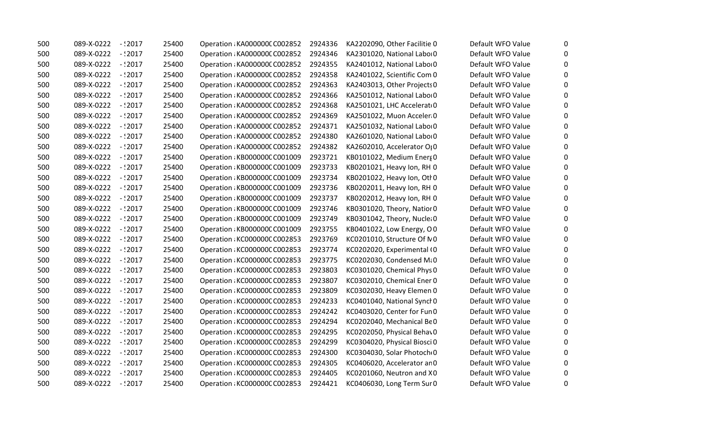| 500 | 089-X-0222          | - 12017    | 25400 | Operation: KA000000C C002852  | 2924336 | KA2202090, Other Facilitie 0 | Default WFO Value | 0            |
|-----|---------------------|------------|-------|-------------------------------|---------|------------------------------|-------------------|--------------|
| 500 | 089-X-0222          | $-$ : 2017 | 25400 | Operation: KA000000C C002852  | 2924346 | KA2301020, National Labor 0  | Default WFO Value | 0            |
| 500 | 089-X-0222          | $-12017$   | 25400 | Operation: KA000000C C002852  | 2924355 | KA2401012, National Labor 0  | Default WFO Value | $\mathbf{0}$ |
| 500 | 089-X-0222          | $-12017$   | 25400 | Operation: KA000000C C002852  | 2924358 | KA2401022, Scientific Com 0  | Default WFO Value | $\mathbf{0}$ |
| 500 | 089-X-0222          | -12017     | 25400 | Operation: KA000000C C002852  | 2924363 | KA2403013, Other Projects 0  | Default WFO Value | $\mathbf{0}$ |
| 500 | 089-X-0222          | - 12017    | 25400 | Operation: KA000000C C002852  | 2924366 | KA2501012, National Labor 0  | Default WFO Value | 0            |
| 500 | 089-X-0222          | $-$ : 2017 | 25400 | Operation: KA000000C C002852  | 2924368 | KA2501021, LHC Accelerat 0   | Default WFO Value | 0            |
| 500 | 089-X-0222          | - : 2017   | 25400 | Operation: KA000000C C002852  | 2924369 | KA2501022, Muon Acceler 0    | Default WFO Value | $\mathbf{0}$ |
| 500 | 089-X-0222          | $-$ : 2017 | 25400 | Operation : KA000000C C002852 | 2924371 | KA2501032, National Labor 0  | Default WFO Value | 0            |
| 500 | 089-X-0222          | $-$ : 2017 | 25400 | Operation : KA000000C C002852 | 2924380 | KA2601020, National Labor0   | Default WFO Value | $\mathbf{0}$ |
| 500 | 089-X-0222          | $-$ : 2017 | 25400 | Operation: KA000000C C002852  | 2924382 | KA2602010, Accelerator OI0   | Default WFO Value | $\Omega$     |
| 500 | 089-X-0222          | $-$ : 2017 | 25400 | Operation: KB000000C C001009  | 2923721 | KB0101022, Medium Energ 0    | Default WFO Value | 0            |
| 500 | 089-X-0222          | - 12017    | 25400 | Operation: KB000000C C001009  | 2923733 | KB0201021, Heavy Ion, RH 0   | Default WFO Value | $\mathbf{0}$ |
| 500 | 089-X-0222          | $-$ : 2017 | 25400 | Operation: KB000000C C001009  | 2923734 | KB0201022, Heavy Ion, Otl 0  | Default WFO Value | $\mathbf{0}$ |
| 500 | 089-X-0222          | - 12017    | 25400 | Operation: KB000000C C001009  | 2923736 | KB0202011, Heavy Ion, RH 0   | Default WFO Value | $\Omega$     |
| 500 | 089-X-0222          | $-$ : 2017 | 25400 | Operation: KB000000C C001009  | 2923737 | KB0202012, Heavy Ion, RH 0   | Default WFO Value | 0            |
| 500 | 089-X-0222          | $-12017$   | 25400 | Operation: KB000000C C001009  | 2923746 | KB0301020, Theory, Natior 0  | Default WFO Value | 0            |
| 500 | 089-X-0222          | - 12017    | 25400 | Operation : KB000000C C001009 | 2923749 | KB0301042, Theory, Nuclei 0  | Default WFO Value | $\mathbf{0}$ |
| 500 | 089-X-0222          | $-$ : 2017 | 25400 | Operation : KB000000C C001009 | 2923755 | KB0401022, Low Energy, OO    | Default WFO Value | $\mathbf{0}$ |
| 500 | 089-X-0222          | - : 2017   | 25400 | Operation: KC000000C C002853  | 2923769 | KC0201010, Structure Of N0   | Default WFO Value | 0            |
| 500 | 089-X-0222          | $-2017$    | 25400 | Operation: KC000000C C002853  | 2923774 | KC0202020, Experimental (0   | Default WFO Value | $\mathbf{0}$ |
| 500 | 089-X-0222          | -12017     | 25400 | Operation: KC000000C C002853  | 2923775 | KC0202030, Condensed Mi0     | Default WFO Value | $\mathbf{0}$ |
| 500 | 089-X-0222          | -12017     | 25400 | Operation: KC000000C C002853  | 2923803 | KC0301020, Chemical Phys 0   | Default WFO Value | $\mathbf{0}$ |
| 500 | 089-X-0222          | $-12017$   | 25400 | Operation: KC000000C C002853  | 2923807 | KC0302010, Chemical Ener 0   | Default WFO Value | 0            |
| 500 | 089-X-0222          | $-12017$   | 25400 | Operation: KC000000C C002853  | 2923809 | KC0302030, Heavy Elemen 0    | Default WFO Value | 0            |
| 500 | 089-X-0222          | $-12017$   | 25400 | Operation: KC000000C C002853  | 2924233 | KC0401040, National Synch0   | Default WFO Value | 0            |
| 500 | 089-X-0222          | - : 2017   | 25400 | Operation : KC000000C C002853 | 2924242 | KC0403020, Center for Fun 0  | Default WFO Value | $\mathbf{0}$ |
| 500 | 089-X-0222          | $-$ : 2017 | 25400 | Operation: KC000000C C002853  | 2924294 | KC0202040, Mechanical BeO    | Default WFO Value | 0            |
| 500 | 089-X-0222          | $-$ : 2017 | 25400 | Operation: KC000000C C002853  | 2924295 | KC0202050, Physical Behav0   | Default WFO Value | $\mathbf{0}$ |
| 500 | 089-X-0222          | - 2017 -   | 25400 | Operation: KC000000C C002853  | 2924299 | KC0304020, Physical Biosci 0 | Default WFO Value | $\mathbf{0}$ |
| 500 | 089-X-0222          | $-12017$   | 25400 | Operation: KC000000C C002853  | 2924300 | KC0304030, Solar Photoch 0   | Default WFO Value | $\mathbf{0}$ |
| 500 | 089-X-0222          | - : 2017   | 25400 | Operation: KC000000C C002853  | 2924305 | KC0406020, Accelerator an 0  | Default WFO Value | 0            |
| 500 | 089-X-0222          | $-$ : 2017 | 25400 | Operation : KC000000C C002853 | 2924405 | KC0201060, Neutron and X0    | Default WFO Value | $\mathbf{0}$ |
| 500 | 089-X-0222 - : 2017 |            | 25400 | Operation: KC000000C C002853  | 2924421 | KC0406030, Long Term Sur 0   | Default WFO Value | 0            |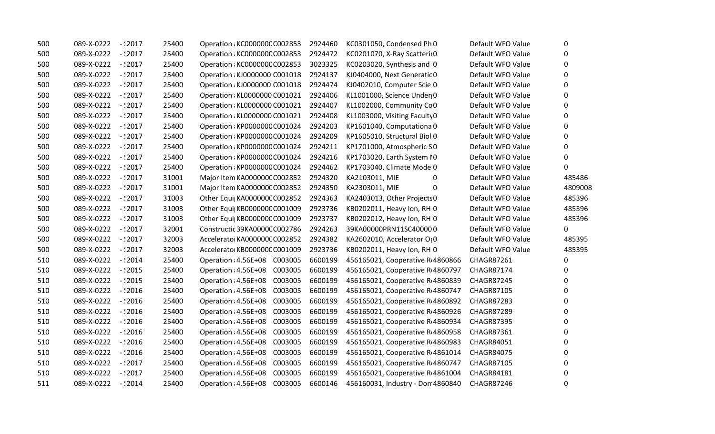| 500 | 089-X-0222          | $-$ :2017  | 25400 | Operation : KC000000C C002853   | 2924460 | KC0301050, Condensed Ph 0               | Default WFO Value | 0        |
|-----|---------------------|------------|-------|---------------------------------|---------|-----------------------------------------|-------------------|----------|
| 500 | 089-X-0222          | $-12017$   | 25400 | Operation : KC000000C C002853   | 2924472 | KC0201070, X-Ray Scatterii 0            | Default WFO Value | 0        |
| 500 | 089-X-0222          | $-$ : 2017 | 25400 | Operation : KC000000C C002853   | 3023325 | KC0203020, Synthesis and 0              | Default WFO Value | $\Omega$ |
| 500 | 089-X-0222          | $-12017$   | 25400 | Operation : KJ0000000 C001018   | 2924137 | KJ0404000, Next Generatic 0             | Default WFO Value | 0        |
| 500 | 089-X-0222          | $-12017$   | 25400 | Operation : KJ0000000 C001018   | 2924474 | KJ0402010, Computer Scie 0              | Default WFO Value | 0        |
| 500 | 089-X-0222          | $-12017$   | 25400 | Operation: KL0000000 C001021    | 2924406 | KL1001000, Science Under 0              | Default WFO Value | 0        |
| 500 | 089-X-0222          | $-$ : 2017 | 25400 | Operation: KL0000000 C001021    | 2924407 | KL1002000, Community Cc 0               | Default WFO Value | 0        |
| 500 | 089-X-0222 - : 2017 |            | 25400 | Operation : KL0000000 C001021   | 2924408 | KL1003000, Visiting Faculty 0           | Default WFO Value | 0        |
| 500 | 089-X-0222          | $-$ : 2017 | 25400 | Operation : KP000000C C001024   | 2924203 | KP1601040, Computationa 0               | Default WFO Value | 0        |
| 500 | 089-X-0222          | $-2017$    | 25400 | Operation : KP000000C C001024   | 2924209 | KP1605010, Structural Biol 0            | Default WFO Value | 0        |
| 500 | 089-X-0222          | $-12017$   | 25400 | Operation : KP000000C C001024   | 2924211 | KP1701000, Atmospheric S0               | Default WFO Value | 0        |
| 500 | 089-X-0222          | $-12017$   | 25400 | Operation: KP000000C C001024    | 2924216 | KP1703020, Earth System IO              | Default WFO Value | $\Omega$ |
| 500 | 089-X-0222          | $-12017$   | 25400 | Operation : KP000000C C001024   | 2924462 | KP1703040, Climate Mode 0               | Default WFO Value | 0        |
| 500 | 089-X-0222          | $-$ : 2017 | 31001 | Major Item KA000000C C002852    | 2924320 | KA2103011, MIE<br>0                     | Default WFO Value | 485486   |
| 500 | 089-X-0222          | $-12017$   | 31001 | Major Item KA000000C C002852    | 2924350 | KA2303011, MIE<br>0                     | Default WFO Value | 4809008  |
| 500 | 089-X-0222          | $-12017$   | 31003 | Other Equi  KA000000C C002852   | 2924363 | KA2403013, Other Projects 0             | Default WFO Value | 485396   |
| 500 | 089-X-0222          | $-12017$   | 31003 | Other Equi  KB000000C C001009   | 2923736 | KB0202011, Heavy Ion, RH 0              | Default WFO Value | 485396   |
| 500 | 089-X-0222          | - 12017    | 31003 | Other Equi KB000000C C001009    | 2923737 | KB0202012, Heavy Ion, RH 0              | Default WFO Value | 485396   |
| 500 | 089-X-0222          | $-$ : 2017 | 32001 | Constructic 39KA0000C C002786   | 2924263 | 39KA00000PRN11SC400000                  | Default WFO Value | 0        |
| 500 | 089-X-0222          | $-12017$   | 32003 | Accelerato KA000000C C002852    | 2924382 | KA2602010, Accelerator O <sub>1</sub> 0 | Default WFO Value | 485395   |
| 500 | 089-X-0222          | $-$ : 2017 | 32003 | Accelerato KB000000C C001009    | 2923736 | KB0202011, Heavy Ion, RH 0              | Default WFO Value | 485395   |
| 510 | 089-X-0222          | $-2014$    | 25400 | Operation: 4.56E+08 C003005     | 6600199 | 456165021, Cooperative R 4860866        | <b>CHAGR87261</b> | 0        |
| 510 | 089-X-0222          | -12015 -   | 25400 | Operation : 4.56E+08<br>C003005 | 6600199 | 456165021, Cooperative R 4860797        | <b>CHAGR87174</b> | 0        |
| 510 | 089-X-0222          | $-2015$    | 25400 | Operation: 4.56E+08<br>C003005  | 6600199 | 456165021, Cooperative R 4860839        | <b>CHAGR87245</b> | $\Omega$ |
| 510 | 089-X-0222          | $-2016$    | 25400 | Operation : 4.56E+08<br>C003005 | 6600199 | 456165021, Cooperative R 4860747        | <b>CHAGR87105</b> | 0        |
| 510 | 089-X-0222          | $-$ :2016  | 25400 | C003005<br>Operation : 4.56E+08 | 6600199 | 456165021, Cooperative R 4860892        | <b>CHAGR87283</b> | 0        |
| 510 | 089-X-0222          | $-$ : 2016 | 25400 | Operation : 4.56E+08<br>C003005 | 6600199 | 456165021, Cooperative R 4860926        | <b>CHAGR87289</b> | 0        |
| 510 | 089-X-0222          | $-$ :2016  | 25400 | Operation : 4.56E+08<br>C003005 | 6600199 | 456165021, Cooperative R 4860934        | <b>CHAGR87395</b> | 0        |
| 510 | 089-X-0222          | $-$ : 2016 | 25400 | Operation : 4.56E+08<br>C003005 | 6600199 | 456165021, Cooperative R 4860958        | CHAGR87361        | 0        |
| 510 | 089-X-0222          | $-$ : 2016 | 25400 | Operation : 4.56E+08<br>C003005 | 6600199 | 456165021, Cooperative R 4860983        | <b>CHAGR84051</b> | 0        |
| 510 | 089-X-0222          | $-$ :2016  | 25400 | Operation : 4.56E+08<br>C003005 | 6600199 | 456165021, Cooperative R 4861014        | <b>CHAGR84075</b> | 0        |
| 510 | 089-X-0222          | $-$ 2017   | 25400 | Operation : 4.56E+08<br>C003005 | 6600199 | 456165021, Cooperative R 4860747        | <b>CHAGR87105</b> | 0        |
| 510 | 089-X-0222          | $-12017$   | 25400 | Operation : 4.56E+08<br>C003005 | 6600199 | 456165021, Cooperative R 4861004        | <b>CHAGR84181</b> | 0        |
| 511 | 089-X-0222          | $-12014$   | 25400 | Operation : 4.56E+08<br>C003005 | 6600146 | 456160031, Industry - Don 4860840       | <b>CHAGR87246</b> | 0        |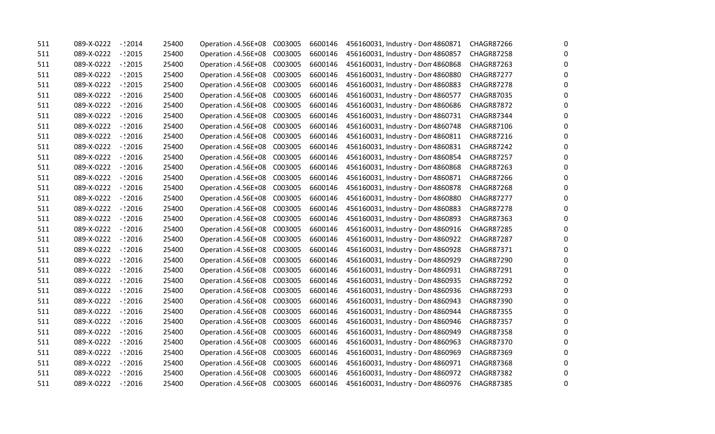| 511 | 089-X-0222 | $-12014$   | 25400 | Operation : 4.56E+08         | C003005 | 6600146 | 456160031, Industry - Don 4860871 | CHAGR87266        | 0        |
|-----|------------|------------|-------|------------------------------|---------|---------|-----------------------------------|-------------------|----------|
| 511 | 089-X-0222 | $-$ : 2015 | 25400 | Operation : 4.56E+08         | C003005 | 6600146 | 456160031, Industry - Don 4860857 | <b>CHAGR87258</b> | 0        |
| 511 | 089-X-0222 | $-$ : 2015 | 25400 | Operation : 4.56E+08 C003005 |         | 6600146 | 456160031, Industry - Don 4860868 | <b>CHAGR87263</b> | 0        |
| 511 | 089-X-0222 | $-$ :2015  | 25400 | Operation : 4.56E+08         | C003005 | 6600146 | 456160031, Industry - Don 4860880 | <b>CHAGR87277</b> | 0        |
| 511 | 089-X-0222 | $-$ :2015  | 25400 | Operation : 4.56E+08         | C003005 | 6600146 | 456160031, Industry - Don 4860883 | <b>CHAGR87278</b> | 0        |
| 511 | 089-X-0222 | $-$ : 2016 | 25400 | Operation : 4.56E+08         | C003005 | 6600146 | 456160031, Industry - Don 4860577 | <b>CHAGR87035</b> | 0        |
| 511 | 089-X-0222 | $-$ : 2016 | 25400 | Operation : 4.56E+08         | C003005 | 6600146 | 456160031, Industry - Don 4860686 | <b>CHAGR87872</b> | 0        |
| 511 | 089-X-0222 | $-$ : 2016 | 25400 | Operation : 4.56E+08         | C003005 | 6600146 | 456160031, Industry - Don 4860731 | CHAGR87344        | 0        |
| 511 | 089-X-0222 | $-$ :2016  | 25400 | Operation : 4.56E+08         | C003005 | 6600146 | 456160031, Industry - Don 4860748 | <b>CHAGR87106</b> | 0        |
| 511 | 089-X-0222 | $-$ :2016  | 25400 | Operation : 4.56E+08         | C003005 | 6600146 | 456160031, Industry - Don 4860811 | CHAGR87216        | 0        |
| 511 | 089-X-0222 | $-$ :2016  | 25400 | Operation : 4.56E+08         | C003005 | 6600146 | 456160031, Industry - Don 4860831 | <b>CHAGR87242</b> | 0        |
| 511 | 089-X-0222 | $-$ :2016  | 25400 | Operation : 4.56E+08         | C003005 | 6600146 | 456160031, Industry - Don 4860854 | <b>CHAGR87257</b> | 0        |
| 511 | 089-X-0222 | - 12016    | 25400 | Operation : 4.56E+08         | C003005 | 6600146 | 456160031, Industry - Don 4860868 | CHAGR87263        | 0        |
| 511 | 089-X-0222 | $-$ :2016  | 25400 | Operation : 4.56E+08         | C003005 | 6600146 | 456160031, Industry - Don 4860871 | <b>CHAGR87266</b> | 0        |
| 511 | 089-X-0222 | $-$ :2016  | 25400 | Operation : 4.56E+08         | C003005 | 6600146 | 456160031, Industry - Don 4860878 | <b>CHAGR87268</b> | 0        |
| 511 | 089-X-0222 | $-$ : 2016 | 25400 | Operation : 4.56E+08         | C003005 | 6600146 | 456160031, Industry - Don 4860880 | <b>CHAGR87277</b> | 0        |
| 511 | 089-X-0222 | - 12016    | 25400 | Operation : 4.56E+08         | C003005 | 6600146 | 456160031, Industry - Don 4860883 | <b>CHAGR87278</b> | 0        |
| 511 | 089-X-0222 | - 2016 -   | 25400 | Operation : 4.56E+08         | C003005 | 6600146 | 456160031, Industry - Don 4860893 | <b>CHAGR87363</b> | 0        |
| 511 | 089-X-0222 | $-$ : 2016 | 25400 | Operation : 4.56E+08         | C003005 | 6600146 | 456160031, Industry - Don 4860916 | <b>CHAGR87285</b> | 0        |
| 511 | 089-X-0222 | $-$ : 2016 | 25400 | Operation : 4.56E+08         | C003005 | 6600146 | 456160031, Industry - Don 4860922 | <b>CHAGR87287</b> | 0        |
| 511 | 089-X-0222 | $-$ :2016  | 25400 | Operation : 4.56E+08         | C003005 | 6600146 | 456160031, Industry - Don 4860928 | <b>CHAGR87371</b> | 0        |
| 511 | 089-X-0222 | - 12016    | 25400 | Operation : 4.56E+08         | C003005 | 6600146 | 456160031, Industry - Don 4860929 | CHAGR87290        | $\Omega$ |
| 511 | 089-X-0222 | $-$ :2016  | 25400 | Operation : 4.56E+08         | C003005 | 6600146 | 456160031, Industry - Don 4860931 | <b>CHAGR87291</b> | 0        |
| 511 | 089-X-0222 | - 12016    | 25400 | Operation : 4.56E+08         | C003005 | 6600146 | 456160031, Industry - Don 4860935 | CHAGR87292        | 0        |
| 511 | 089-X-0222 | $-$ : 2016 | 25400 | Operation : 4.56E+08         | C003005 | 6600146 | 456160031, Industry - Don 4860936 | <b>CHAGR87293</b> | 0        |
| 511 | 089-X-0222 | $-$ : 2016 | 25400 | Operation : 4.56E+08         | C003005 | 6600146 | 456160031, Industry - Don 4860943 | <b>CHAGR87390</b> | 0        |
| 511 | 089-X-0222 | -12016     | 25400 | Operation : 4.56E+08         | C003005 | 6600146 | 456160031, Industry - Don 4860944 | CHAGR87355        | 0        |
| 511 | 089-X-0222 | $-$ :2016  | 25400 | Operation : 4.56E+08         | C003005 | 6600146 | 456160031, Industry - Don 4860946 | <b>CHAGR87357</b> | 0        |
| 511 | 089-X-0222 | $-$ :2016  | 25400 | Operation : 4.56E+08         | C003005 | 6600146 | 456160031, Industry - Don 4860949 | <b>CHAGR87358</b> | 0        |
| 511 | 089-X-0222 | $-$ :2016  | 25400 | Operation : 4.56E+08         | C003005 | 6600146 | 456160031, Industry - Don 4860963 | <b>CHAGR87370</b> | 0        |
| 511 | 089-X-0222 | $-$ : 2016 | 25400 | Operation : 4.56E+08         | C003005 | 6600146 | 456160031, Industry - Don 4860969 | <b>CHAGR87369</b> | 0        |
| 511 | 089-X-0222 | - 2016 -   | 25400 | Operation : 4.56E+08         | C003005 | 6600146 | 456160031, Industry - Don 4860971 | CHAGR87368        | 0        |
| 511 | 089-X-0222 | $-$ : 2016 | 25400 | Operation : 4.56E+08         | C003005 | 6600146 | 456160031, Industry - Don 4860972 | <b>CHAGR87382</b> | $\Omega$ |
| 511 | 089-X-0222 | -12016     | 25400 | Operation : 4.56E+08         | C003005 | 6600146 | 456160031, Industry - Don 4860976 | <b>CHAGR87385</b> | 0        |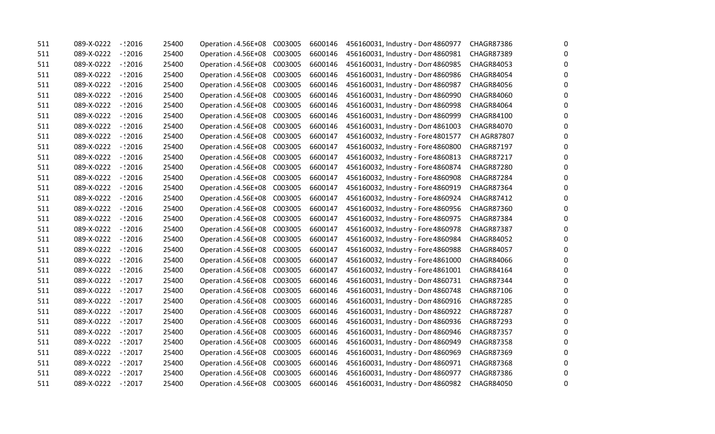| 511 | 089-X-0222 | $-$ :2016  | 25400 | Operation : 4.56E+08 | C003005 | 6600146 | 456160031, Industry - Don 4860977  | <b>CHAGR87386</b>  | 0        |
|-----|------------|------------|-------|----------------------|---------|---------|------------------------------------|--------------------|----------|
| 511 | 089-X-0222 | $-$ :2016  | 25400 | Operation : 4.56E+08 | C003005 | 6600146 | 456160031, Industry - Don 4860981  | <b>CHAGR87389</b>  | 0        |
| 511 | 089-X-0222 | $-$ : 2016 | 25400 | Operation : 4.56E+08 | C003005 | 6600146 | 456160031, Industry - Don 4860985  | <b>CHAGR84053</b>  | 0        |
| 511 | 089-X-0222 | $-$ : 2016 | 25400 | Operation : 4.56E+08 | C003005 | 6600146 | 456160031, Industry - Don 4860986  | <b>CHAGR84054</b>  | 0        |
| 511 | 089-X-0222 | $-2016$    | 25400 | Operation : 4.56E+08 | C003005 | 6600146 | 456160031, Industry - Don 4860987  | <b>CHAGR84056</b>  | 0        |
| 511 | 089-X-0222 | $-$ :2016  | 25400 | Operation : 4.56E+08 | C003005 | 6600146 | 456160031, Industry - Don 4860990  | <b>CHAGR84060</b>  | $\Omega$ |
| 511 | 089-X-0222 | $-$ :2016  | 25400 | Operation : 4.56E+08 | C003005 | 6600146 | 456160031, Industry - Don 4860998  | <b>CHAGR84064</b>  | 0        |
| 511 | 089-X-0222 | - 12016    | 25400 | Operation : 4.56E+08 | C003005 | 6600146 | 456160031, Industry - Don 4860999  | CHAGR84100         | 0        |
| 511 | 089-X-0222 | $-$ : 2016 | 25400 | Operation : 4.56E+08 | C003005 | 6600146 | 456160031, Industry - Don 4861003  | <b>CHAGR84070</b>  | 0        |
| 511 | 089-X-0222 | $-$ :2016  | 25400 | Operation : 4.56E+08 | C003005 | 6600147 | 456160032, Industry - Fore 4801577 | <b>CH AGR87807</b> | 0        |
| 511 | 089-X-0222 | $-$ :2016  | 25400 | Operation : 4.56E+08 | C003005 | 6600147 | 456160032, Industry - Fore 4860800 | CHAGR87197         | 0        |
| 511 | 089-X-0222 | $-$ :2016  | 25400 | Operation : 4.56E+08 | C003005 | 6600147 | 456160032, Industry - Fore 4860813 | <b>CHAGR87217</b>  | 0        |
| 511 | 089-X-0222 | $-$ :2016  | 25400 | Operation : 4.56E+08 | C003005 | 6600147 | 456160032, Industry - Fore 4860874 | <b>CHAGR87280</b>  | 0        |
| 511 | 089-X-0222 | $-$ :2016  | 25400 | Operation : 4.56E+08 | C003005 | 6600147 | 456160032, Industry - Fore 4860908 | CHAGR87284         | $\Omega$ |
| 511 | 089-X-0222 | $-$ : 2016 | 25400 | Operation : 4.56E+08 | C003005 | 6600147 | 456160032, Industry - Fore 4860919 | <b>CHAGR87364</b>  | 0        |
| 511 | 089-X-0222 | $-$ :2016  | 25400 | Operation : 4.56E+08 | C003005 | 6600147 | 456160032, Industry - Fore 4860924 | <b>CHAGR87412</b>  | 0        |
| 511 | 089-X-0222 | $-$ :2016  | 25400 | Operation : 4.56E+08 | C003005 | 6600147 | 456160032, Industry - Fore 4860956 | CHAGR87360         | 0        |
| 511 | 089-X-0222 | $-$ :2016  | 25400 | Operation : 4.56E+08 | C003005 | 6600147 | 456160032, Industry - Fore 4860975 | <b>CHAGR87384</b>  | 0        |
| 511 | 089-X-0222 | $-$ :2016  | 25400 | Operation : 4.56E+08 | C003005 | 6600147 | 456160032, Industry - Fore 4860978 | <b>CHAGR87387</b>  | 0        |
| 511 | 089-X-0222 | $-2016$    | 25400 | Operation : 4.56E+08 | C003005 | 6600147 | 456160032, Industry - Fore 4860984 | CHAGR84052         | 0        |
| 511 | 089-X-0222 | $-$ :2016  | 25400 | Operation : 4.56E+08 | C003005 | 6600147 | 456160032, Industry - Fore 4860988 | <b>CHAGR84057</b>  | 0        |
| 511 | 089-X-0222 | - 12016    | 25400 | Operation : 4.56E+08 | C003005 | 6600147 | 456160032, Industry - Fore 4861000 | <b>CHAGR84066</b>  | 0        |
| 511 | 089-X-0222 | $-2016$    | 25400 | Operation : 4.56E+08 | C003005 | 6600147 | 456160032, Industry - Fore 4861001 | CHAGR84164         | 0        |
| 511 | 089-X-0222 | $-$ : 2017 | 25400 | Operation : 4.56E+08 | C003005 | 6600146 | 456160031, Industry - Don 4860731  | <b>CHAGR87344</b>  | 0        |
| 511 | 089-X-0222 | $-$ : 2017 | 25400 | Operation : 4.56E+08 | C003005 | 6600146 | 456160031, Industry - Don 4860748  | <b>CHAGR87106</b>  | 0        |
| 511 | 089-X-0222 | $-$ : 2017 | 25400 | Operation : 4.56E+08 | C003005 | 6600146 | 456160031, Industry - Don 4860916  | CHAGR87285         | 0        |
| 511 | 089-X-0222 | - 12017    | 25400 | Operation : 4.56E+08 | C003005 | 6600146 | 456160031, Industry - Don 4860922  | <b>CHAGR87287</b>  | 0        |
| 511 | 089-X-0222 | $-2017$    | 25400 | Operation : 4.56E+08 | C003005 | 6600146 | 456160031, Industry - Don 4860936  | <b>CHAGR87293</b>  | 0        |
| 511 | 089-X-0222 | $-$ :2017  | 25400 | Operation : 4.56E+08 | C003005 | 6600146 | 456160031, Industry - Don 4860946  | CHAGR87357         | 0        |
| 511 | 089-X-0222 | $-2017$    | 25400 | Operation : 4.56E+08 | C003005 | 6600146 | 456160031, Industry - Don 4860949  | <b>CHAGR87358</b>  | 0        |
| 511 | 089-X-0222 | $-$ : 2017 | 25400 | Operation : 4.56E+08 | C003005 | 6600146 | 456160031, Industry - Don 4860969  | <b>CHAGR87369</b>  | 0        |
| 511 | 089-X-0222 | - 2017     | 25400 | Operation : 4.56E+08 | C003005 | 6600146 | 456160031, Industry - Don 4860971  | CHAGR87368         | 0        |
| 511 | 089-X-0222 | $-$ : 2017 | 25400 | Operation : 4.56E+08 | C003005 | 6600146 | 456160031, Industry - Don 4860977  | CHAGR87386         | 0        |
| 511 | 089-X-0222 | - 12017    | 25400 | Operation : 4.56E+08 | C003005 | 6600146 | 456160031, Industry - Don 4860982  | <b>CHAGR84050</b>  | 0        |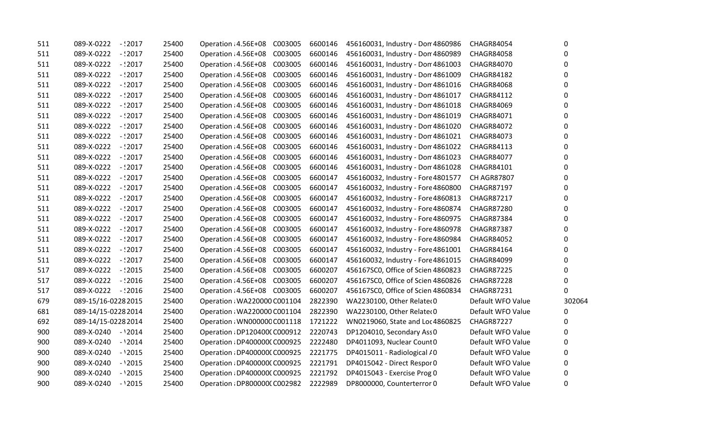| 511 | $-12017$<br>089-X-0222   | 25400 | Operation : 4.56E+08<br>C003005 | 6600146 | 456160031, Industry - Don 4860986  | <b>CHAGR84054</b>  | 0      |
|-----|--------------------------|-------|---------------------------------|---------|------------------------------------|--------------------|--------|
| 511 | 089-X-0222<br>$-12017$   | 25400 | Operation: 4.56E+08<br>C003005  | 6600146 | 456160031, Industry - Don 4860989  | <b>CHAGR84058</b>  | 0      |
| 511 | 089-X-0222<br>$-$ :2017  | 25400 | Operation : 4.56E+08<br>C003005 | 6600146 | 456160031, Industry - Don 4861003  | <b>CHAGR84070</b>  | 0      |
| 511 | 089-X-0222<br>$-$ : 2017 | 25400 | Operation : 4.56E+08<br>C003005 | 6600146 | 456160031, Industry - Don 4861009  | <b>CHAGR84182</b>  | 0      |
| 511 | 089-X-0222<br>$-$ :2017  | 25400 | Operation: 4.56E+08<br>C003005  | 6600146 | 456160031, Industry - Don 4861016  | <b>CHAGR84068</b>  | 0      |
| 511 | 089-X-0222<br>- : 2017   | 25400 | Operation: 4.56E+08<br>C003005  | 6600146 | 456160031, Industry - Don 4861017  | <b>CHAGR84112</b>  | 0      |
| 511 | 089-X-0222<br>$-$ :2017  | 25400 | Operation: 4.56E+08<br>C003005  | 6600146 | 456160031, Industry - Don 4861018  | <b>CHAGR84069</b>  | 0      |
| 511 | 089-X-0222<br>$-12017$   | 25400 | Operation : 4.56E+08<br>C003005 | 6600146 | 456160031, Industry - Don 4861019  | CHAGR84071         | 0      |
| 511 | 089-X-0222<br>$-$ :2017  | 25400 | Operation: 4.56E+08<br>C003005  | 6600146 | 456160031, Industry - Don 4861020  | <b>CHAGR84072</b>  | 0      |
| 511 | 089-X-0222<br>$-$ :2017  | 25400 | Operation : 4.56E+08<br>C003005 | 6600146 | 456160031, Industry - Don 4861021  | <b>CHAGR84073</b>  | 0      |
| 511 | 089-X-0222<br>$-$ :2017  | 25400 | Operation: 4.56E+08<br>C003005  | 6600146 | 456160031, Industry - Don 4861022  | CHAGR84113         | 0      |
| 511 | 089-X-0222<br>$-$ : 2017 | 25400 | Operation : 4.56E+08<br>C003005 | 6600146 | 456160031, Industry - Don 4861023  | <b>CHAGR84077</b>  | 0      |
| 511 | 089-X-0222<br>$-12017$   | 25400 | Operation: 4.56E+08<br>C003005  | 6600146 | 456160031, Industry - Don 4861028  | CHAGR84101         | 0      |
| 511 | 089-X-0222<br>$-12017$   | 25400 | Operation : 4.56E+08<br>C003005 | 6600147 | 456160032, Industry - Fore 4801577 | <b>CH AGR87807</b> | 0      |
| 511 | 089-X-0222<br>$-$ :2017  | 25400 | Operation: 4.56E+08<br>C003005  | 6600147 | 456160032, Industry - Fore 4860800 | <b>CHAGR87197</b>  | 0      |
| 511 | 089-X-0222<br>$-$ :2017  | 25400 | Operation: 4.56E+08<br>C003005  | 6600147 | 456160032, Industry - Fore 4860813 | <b>CHAGR87217</b>  | 0      |
| 511 | 089-X-0222<br>$-$ : 2017 | 25400 | Operation: 4.56E+08<br>C003005  | 6600147 | 456160032, Industry - Fore 4860874 | <b>CHAGR87280</b>  | 0      |
| 511 | 089-X-0222<br>$-12017$   | 25400 | Operation: 4.56E+08<br>C003005  | 6600147 | 456160032, Industry - Fore 4860975 | <b>CHAGR87384</b>  | 0      |
| 511 | 089-X-0222<br>$-$ :2017  | 25400 | Operation: 4.56E+08<br>C003005  | 6600147 | 456160032, Industry - Fore 4860978 | <b>CHAGR87387</b>  | 0      |
| 511 | 089-X-0222<br>$-2017$    | 25400 | Operation : 4.56E+08<br>C003005 | 6600147 | 456160032, Industry - Fore 4860984 | <b>CHAGR84052</b>  | 0      |
| 511 | 089-X-0222<br>$-$ :2017  | 25400 | Operation: 4.56E+08<br>C003005  | 6600147 | 456160032, Industry - Fore 4861001 | CHAGR84164         | 0      |
| 511 | $-12017$<br>089-X-0222   | 25400 | Operation : 4.56E+08<br>C003005 | 6600147 | 456160032, Industry - Fore 4861015 | <b>CHAGR84099</b>  | 0      |
| 517 | 089-X-0222<br>$-$ : 2015 | 25400 | Operation : 4.56E+08<br>C003005 | 6600207 | 456167SC0, Office of Scien 4860823 | <b>CHAGR87225</b>  | 0      |
| 517 | 089-X-0222<br>$-$ :2016  | 25400 | Operation : 4.56E+08<br>C003005 | 6600207 | 456167SC0, Office of Scien 4860826 | <b>CHAGR87228</b>  | 0      |
| 517 | 089-X-0222 -: 2016       | 25400 | Operation : 4.56E+08 C003005    | 6600207 | 456167SC0, Office of Scien 4860834 | CHAGR87231         | 0      |
| 679 | 089-15/16-0228 2015      | 25400 | Operation : WA220000 C001104    | 2822390 | WA2230100, Other Relater 0         | Default WFO Value  | 302064 |
| 681 | 089-14/15-0228 2014      | 25400 | Operation: WA220000 C001104     | 2822390 | WA2230100, Other Relater 0         | Default WFO Value  | 0      |
| 692 | 089-14/15-0228 2014      | 25400 | Operation: WN000000 C001118     | 1721222 | WN0219060, State and Loc 4860825   | <b>CHAGR87227</b>  | 0      |
| 900 | 089-X-0240 - '2014       | 25400 | Operation : DP120400(C000912    | 2220743 | DP1204010, Secondary Ass 0         | Default WFO Value  | 0      |
| 900 | 089-X-0240<br>$-12014$   | 25400 | Operation: DP400000(C000925     | 2222480 | DP4011093, Nuclear Count 0         | Default WFO Value  | 0      |
| 900 | 089-X-0240<br>$-12015$   | 25400 | Operation : DP400000(C000925    | 2221775 | DP4015011 - Radiological / 0       | Default WFO Value  | 0      |
| 900 | 089-X-0240<br>$-12015$   | 25400 | Operation : DP400000(C000925    | 2221791 | DP4015042 - Direct Respor 0        | Default WFO Value  | 0      |
| 900 | 089-X-0240<br>$-12015$   | 25400 | Operation : DP400000(C000925    | 2221792 | DP4015043 - Exercise Prog 0        | Default WFO Value  | 0      |
| 900 | 089-X-0240<br>$-12015$   | 25400 | Operation : DP800000(C002982    | 2222989 | DP8000000, Counterterror 0         | Default WFO Value  | 0      |
|     |                          |       |                                 |         |                                    |                    |        |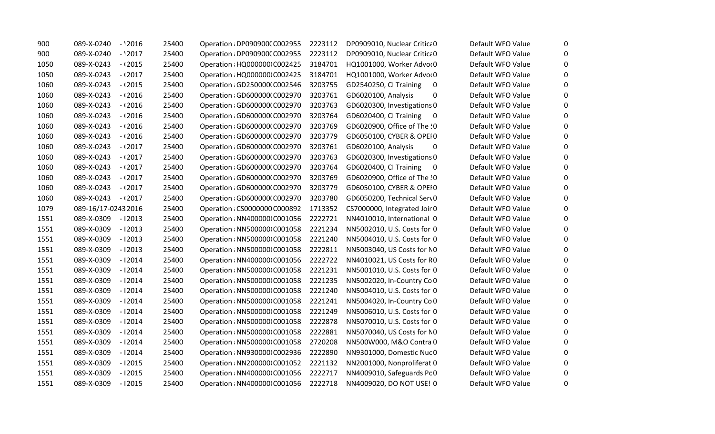| 900  | $-12016$<br>089-X-0240 | 25400 | Operation: DP090900(C002955  | 2223112 | DP0909010, Nuclear Critica 0       | Default WFO Value | 0            |
|------|------------------------|-------|------------------------------|---------|------------------------------------|-------------------|--------------|
| 900  | $-12017$<br>089-X-0240 | 25400 | Operation : DP090900(C002955 | 2223112 | DP0909010, Nuclear Critica 0       | Default WFO Value | 0            |
| 1050 | 089-X-0243<br>$-12015$ | 25400 | Operation: HQ000000 C002425  | 3184701 | HQ1001000, Worker Advor0           | Default WFO Value | $\mathbf{0}$ |
| 1050 | 089-X-0243<br>$-12017$ | 25400 | Operation : HQ000000 C002425 | 3184701 | HQ1001000, Worker Advor0           | Default WFO Value | $\mathbf{0}$ |
| 1060 | 089-X-0243<br>$-12015$ | 25400 | Operation : GD250000 C002546 | 3203755 | GD2540250, CI Training<br>$\bf{0}$ | Default WFO Value | $\mathbf{0}$ |
| 1060 | $-12016$<br>089-X-0243 | 25400 | Operation : GD600000 C002970 | 3203761 | GD6020100, Analysis<br>0           | Default WFO Value | $\Omega$     |
| 1060 | $-12016$<br>089-X-0243 | 25400 | Operation : GD600000 C002970 | 3203763 | GD6020300, Investigations 0        | Default WFO Value | 0            |
| 1060 | $-12016$<br>089-X-0243 | 25400 | Operation : GD600000 C002970 | 3203764 | GD6020400, CI Training<br>0        | Default WFO Value | $\mathbf{0}$ |
| 1060 | 089-X-0243<br>$-12016$ | 25400 | Operation : GD600000 C002970 | 3203769 | GD6020900, Office of The !0        | Default WFO Value | 0            |
| 1060 | 089-X-0243<br>$-12016$ | 25400 | Operation : GD600000 C002970 | 3203779 | GD6050100, CYBER & OPEIO           | Default WFO Value | $\mathbf{0}$ |
| 1060 | 089-X-0243<br>$-12017$ | 25400 | Operation : GD600000 C002970 | 3203761 | GD6020100, Analysis<br>0           | Default WFO Value | $\Omega$     |
| 1060 | 089-X-0243<br>$-12017$ | 25400 | Operation : GD600000 C002970 | 3203763 | GD6020300, Investigations 0        | Default WFO Value | $\mathbf{0}$ |
| 1060 | 089-X-0243<br>$-12017$ | 25400 | Operation : GD600000 C002970 | 3203764 | GD6020400, CI Training<br>0        | Default WFO Value | 0            |
| 1060 | 089-X-0243<br>$-12017$ | 25400 | Operation : GD600000 C002970 | 3203769 | GD6020900, Office of The !0        | Default WFO Value | $\mathbf{0}$ |
| 1060 | 089-X-0243<br>$-12017$ | 25400 | Operation : GD600000 C002970 | 3203779 | GD6050100, CYBER & OPEIO           | Default WFO Value | $\mathbf{0}$ |
| 1060 | 089-X-0243<br>$-12017$ | 25400 | Operation : GD600000 C002970 | 3203780 | GD6050200, Technical Serv0         | Default WFO Value | 0            |
| 1079 | 089-16/17-02432016     | 25400 | Operation: CS0000000 C000892 | 1713352 | CS7000000, Integrated Joir 0       | Default WFO Value | 0            |
| 1551 | 089-X-0309<br>-12013   | 25400 | Operation : NN400000 C001056 | 2222721 | NN4010010, International 0         | Default WFO Value | $\mathbf{0}$ |
| 1551 | 089-X-0309<br>$-12013$ | 25400 | Operation: NN500000 C001058  | 2221234 | NN5002010, U.S. Costs for 0        | Default WFO Value | $\mathbf{0}$ |
| 1551 | 089-X-0309<br>$-12013$ | 25400 | Operation: NN500000 C001058  | 2221240 | NN5004010, U.S. Costs for 0        | Default WFO Value | 0            |
| 1551 | 089-X-0309<br>$-12013$ | 25400 | Operation: NN500000 C001058  | 2222811 | NN5003040, US Costs for NO         | Default WFO Value | $\mathbf{0}$ |
| 1551 | 089-X-0309<br>$-12014$ | 25400 | Operation : NN400000 C001056 | 2222722 | NN4010021, US Costs for RO         | Default WFO Value | $\mathbf{0}$ |
| 1551 | 089-X-0309<br>-12014   | 25400 | Operation : NN500000 C001058 | 2221231 | NN5001010, U.S. Costs for 0        | Default WFO Value | $\mathbf{0}$ |
| 1551 | 089-X-0309<br>$-12014$ | 25400 | Operation: NN500000 C001058  | 2221235 | NN5002020, In-Country Co 0         | Default WFO Value | $\Omega$     |
| 1551 | 089-X-0309<br>$-12014$ | 25400 | Operation: NN500000 C001058  | 2221240 | NN5004010, U.S. Costs for 0        | Default WFO Value | $\Omega$     |
| 1551 | 089-X-0309<br>$-12014$ | 25400 | Operation: NN500000 C001058  | 2221241 | NN5004020, In-Country Co 0         | Default WFO Value | 0            |
| 1551 | 089-X-0309<br>-12014   | 25400 | Operation: NN500000 C001058  | 2221249 | NN5006010, U.S. Costs for 0        | Default WFO Value | $\mathbf{0}$ |
| 1551 | 089-X-0309<br>$-12014$ | 25400 | Operation: NN500000 C001058  | 2222878 | NN5070010, U.S. Costs for 0        | Default WFO Value | 0            |
| 1551 | 089-X-0309<br>$-12014$ | 25400 | Operation: NN500000 C001058  | 2222881 | NN5070040, US Costs for NO         | Default WFO Value | $\mathbf{0}$ |
| 1551 | 089-X-0309<br>-12014   | 25400 | Operation: NN500000 C001058  | 2720208 | NN500W000, M&O Contra 0            | Default WFO Value | $\mathbf{0}$ |
| 1551 | 089-X-0309<br>$-12014$ | 25400 | Operation: NN930000 C002936  | 2222890 | NN9301000, Domestic Nuc 0          | Default WFO Value | 0            |
| 1551 | 089-X-0309<br>$-12015$ | 25400 | Operation: NN2000000 C001052 | 2221132 | NN2001000, Nonproliferat 0         | Default WFO Value | 0            |
| 1551 | 089-X-0309<br>$-12015$ | 25400 | Operation : NN400000 C001056 | 2222717 | NN4009010, Safeguards PcO          | Default WFO Value | $\mathbf{0}$ |
| 1551 | 089-X-0309<br>$-12015$ | 25400 | Operation : NN400000 C001056 | 2222718 | NN4009020, DO NOT USE! 0           | Default WFO Value | 0            |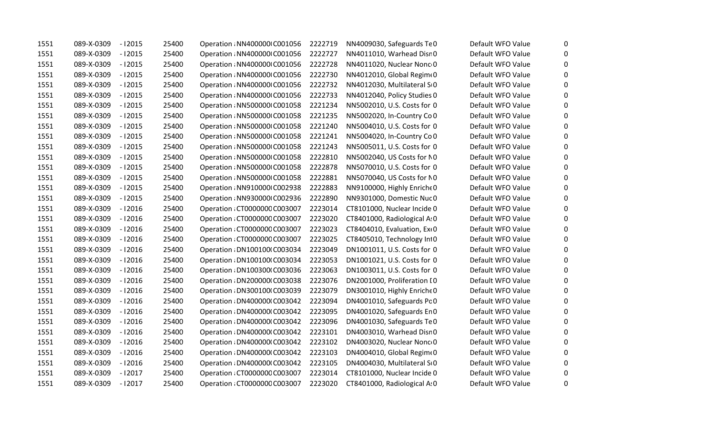| 1551 | 089-X-0309 | $-12015$ | 25400 | Operation : NN400000 C001056  | 2222719 | NN4009030, Safeguards TeO    | Default WFO Value | 0            |
|------|------------|----------|-------|-------------------------------|---------|------------------------------|-------------------|--------------|
| 1551 | 089-X-0309 | $-12015$ | 25400 | Operation : NN400000 C001056  | 2222727 | NN4011010, Warhead Disr 0    | Default WFO Value | 0            |
| 1551 | 089-X-0309 | -12015   | 25400 | Operation : NN400000 C001056  | 2222728 | NN4011020, Nuclear Nonc 0    | Default WFO Value | $\mathbf{0}$ |
| 1551 | 089-X-0309 | $-12015$ | 25400 | Operation : NN400000 C001056  | 2222730 | NN4012010, Global Regime0    | Default WFO Value | $\mathbf{0}$ |
| 1551 | 089-X-0309 | -12015   | 25400 | Operation : NN400000 C001056  | 2222732 | NN4012030, Multilateral SO   | Default WFO Value | $\mathbf{0}$ |
| 1551 | 089-X-0309 | $-12015$ | 25400 | Operation: NN400000 C001056   | 2222733 | NN4012040, Policy Studies 0  | Default WFO Value | 0            |
| 1551 | 089-X-0309 | $-12015$ | 25400 | Operation: NN500000 C001058   | 2221234 | NN5002010, U.S. Costs for 0  | Default WFO Value | $\mathbf{0}$ |
| 1551 | 089-X-0309 | $-12015$ | 25400 | Operation: NN500000 C001058   | 2221235 | NN5002020, In-Country Co 0   | Default WFO Value | $\mathbf{0}$ |
| 1551 | 089-X-0309 | $-12015$ | 25400 | Operation: NN500000 C001058   | 2221240 | NN5004010, U.S. Costs for 0  | Default WFO Value | 0            |
| 1551 | 089-X-0309 | $-12015$ | 25400 | Operation : NN500000 C001058  | 2221241 | NN5004020, In-Country Co 0   | Default WFO Value | $\mathbf{0}$ |
| 1551 | 089-X-0309 | $-12015$ | 25400 | Operation: NN500000 C001058   | 2221243 | NN5005011, U.S. Costs for 0  | Default WFO Value | $\Omega$     |
| 1551 | 089-X-0309 | $-12015$ | 25400 | Operation : NN500000 C001058  | 2222810 | NN5002040, US Costs for NO   | Default WFO Value | $\mathbf{0}$ |
| 1551 | 089-X-0309 | $-12015$ | 25400 | Operation : NN500000 C001058  | 2222878 | NN5070010, U.S. Costs for 0  | Default WFO Value | $\mathbf{0}$ |
| 1551 | 089-X-0309 | $-12015$ | 25400 | Operation : NN500000 C001058  | 2222881 | NN5070040, US Costs for NO   | Default WFO Value | $\Omega$     |
| 1551 | 089-X-0309 | $-12015$ | 25400 | Operation: NN910000 C002938   | 2222883 | NN9100000, Highly Enriche 0  | Default WFO Value | $\mathbf{0}$ |
| 1551 | 089-X-0309 | $-12015$ | 25400 | Operation: NN930000 C002936   | 2222890 | NN9301000, Domestic Nuc 0    | Default WFO Value | $\mathbf{0}$ |
| 1551 | 089-X-0309 | -12016   | 25400 | Operation: CT0000000 C003007  | 2223014 | CT8101000, Nuclear Incide 0  | Default WFO Value | $\mathbf{0}$ |
| 1551 | 089-X-0309 | $-12016$ | 25400 | Operation : CT0000000 C003007 | 2223020 | CT8401000, Radiological A: 0 | Default WFO Value | $\mathbf{0}$ |
| 1551 | 089-X-0309 | $-12016$ | 25400 | Operation: CT0000000 C003007  | 2223023 | CT8404010, Evaluation, Exi0  | Default WFO Value | $\mathbf{0}$ |
| 1551 | 089-X-0309 | $-12016$ | 25400 | Operation: CT0000000 C003007  | 2223025 | CT8405010, Technology Int0   | Default WFO Value | 0            |
| 1551 | 089-X-0309 | $-12016$ | 25400 | Operation : DN1001001C003034  | 2223049 | DN1001011, U.S. Costs for 0  | Default WFO Value | 0            |
| 1551 | 089-X-0309 | $-12016$ | 25400 | Operation: DN100100(C003034   | 2223053 | DN1001021, U.S. Costs for 0  | Default WFO Value | $\Omega$     |
| 1551 | 089-X-0309 | $-12016$ | 25400 | Operation : DN1003001C003036  | 2223063 | DN1003011, U.S. Costs for 0  | Default WFO Value | $\mathbf{0}$ |
| 1551 | 089-X-0309 | $-12016$ | 25400 | Operation : DN2000001 C003038 | 2223076 | DN2001000, Proliferation IO  | Default WFO Value | $\Omega$     |
| 1551 | 089-X-0309 | $-12016$ | 25400 | Operation: DN300100(C003039   | 2223079 | DN3001010, Highly Enriche 0  | Default WFO Value | 0            |
| 1551 | 089-X-0309 | $-12016$ | 25400 | Operation : DN4000001 C003042 | 2223094 | DN4001010, Safeguards Pc 0   | Default WFO Value | 0            |
| 1551 | 089-X-0309 | $-12016$ | 25400 | Operation: DN4000001 C003042  | 2223095 | DN4001020, Safeguards En 0   | Default WFO Value | $\mathbf{0}$ |
| 1551 | 089-X-0309 | $-12016$ | 25400 | Operation : DN4000001 C003042 | 2223096 | DN4001030, Safeguards TeO    | Default WFO Value | 0            |
| 1551 | 089-X-0309 | -12016   | 25400 | Operation : DN4000001 C003042 | 2223101 | DN4003010, Warhead Disn0     | Default WFO Value | $\mathbf{0}$ |
| 1551 | 089-X-0309 | $-12016$ | 25400 | Operation: DN4000001 C003042  | 2223102 | DN4003020, Nuclear Nonc 0    | Default WFO Value | $\mathbf{0}$ |
| 1551 | 089-X-0309 | -12016   | 25400 | Operation : DN4000001 C003042 | 2223103 | DN4004010, Global Regimt0    | Default WFO Value | $\mathbf{0}$ |
| 1551 | 089-X-0309 | $-12016$ | 25400 | Operation : DN4000001 C003042 | 2223105 | DN4004030, Multilateral SLO  | Default WFO Value | 0            |
| 1551 | 089-X-0309 | $-12017$ | 25400 | Operation: CT0000000 C003007  | 2223014 | CT8101000, Nuclear Incide 0  | Default WFO Value | $\mathbf{0}$ |
| 1551 | 089-X-0309 | -12017   | 25400 | Operation: CT0000000 C003007  | 2223020 | CT8401000, Radiological A: 0 | Default WFO Value | 0            |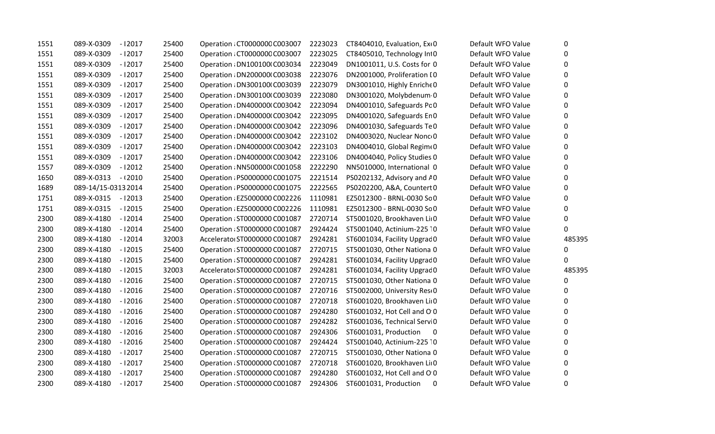| 1551 | 089-X-0309<br>$-12017$ | 25400 | Operation: CT0000000 C003007  | 2223023 | CT8404010, Evaluation, Ext0                       | Default WFO Value | 0      |
|------|------------------------|-------|-------------------------------|---------|---------------------------------------------------|-------------------|--------|
| 1551 | 089-X-0309<br>$-12017$ | 25400 | Operation: CT0000000 C003007  | 2223025 | CT8405010, Technology Int0                        | Default WFO Value | 0      |
| 1551 | 089-X-0309<br>$-12017$ | 25400 | Operation : DN1001001C003034  | 2223049 | DN1001011, U.S. Costs for 0                       | Default WFO Value | 0      |
| 1551 | 089-X-0309<br>$-12017$ | 25400 | Operation : DN2000001 C003038 | 2223076 | DN2001000, Proliferation IO                       | Default WFO Value | 0      |
| 1551 | 089-X-0309<br>$-12017$ | 25400 | Operation : DN300100 (C003039 | 2223079 | DN3001010, Highly Enriche 0                       | Default WFO Value | 0      |
| 1551 | 089-X-0309<br>$-12017$ | 25400 | Operation: DN300100(C003039   | 2223080 | DN3001020, Molybdenum 0                           | Default WFO Value | 0      |
| 1551 | 089-X-0309<br>$-12017$ | 25400 | Operation : DN400000 C003042  | 2223094 | DN4001010, Safeguards PcO                         | Default WFO Value | 0      |
| 1551 | 089-X-0309<br>$-12017$ | 25400 | Operation : DN400000 C003042  | 2223095 | DN4001020, Safeguards En 0                        | Default WFO Value | 0      |
| 1551 | 089-X-0309<br>$-12017$ | 25400 | Operation : DN400000 C003042  | 2223096 | DN4001030, Safeguards TeO                         | Default WFO Value | 0      |
| 1551 | 089-X-0309<br>$-12017$ | 25400 | Operation : DN4000001 C003042 | 2223102 | DN4003020, Nuclear Nonc 0                         | Default WFO Value | 0      |
| 1551 | 089-X-0309<br>$-12017$ | 25400 | Operation : DN4000001 C003042 | 2223103 | DN4004010, Global Regime0                         | Default WFO Value | 0      |
| 1551 | 089-X-0309<br>$-12017$ | 25400 | Operation : DN400000 C003042  | 2223106 | DN4004040, Policy Studies 0                       | Default WFO Value | 0      |
| 1557 | 089-X-0309<br>$-12012$ | 25400 | Operation : NN500000 C001058  | 2222290 | NN5010000, International 0                        | Default WFO Value | 0      |
| 1650 | 089-X-0313<br>$-12010$ | 25400 | Operation : PS0000000 C001075 | 2221514 | PS0202132, Advisory and AO                        | Default WFO Value | 0      |
| 1689 | 089-14/15-03132014     | 25400 | Operation : PS0000000 C001075 | 2222565 | PS0202200, A&A, Countert 0                        | Default WFO Value | 0      |
| 1751 | 089-X-0315 - 12013     | 25400 | Operation: EZ5000000 C002226  | 1110981 | EZ5012300 - BRNL-0030 So 0                        | Default WFO Value | 0      |
| 1751 | 089-X-0315 - 12015     | 25400 | Operation: EZ5000000 C002226  | 1110981 | EZ5012300 - BRNL-0030 So 0                        | Default WFO Value | 0      |
| 2300 | 089-X-4180<br>$-12014$ | 25400 | Operation : ST0000000 C001087 | 2720714 | ST5001020, Brookhaven Liı 0                       | Default WFO Value | 0      |
| 2300 | 089-X-4180<br>$-12014$ | 25400 | Operation : ST0000000 C001087 | 2924424 | ST5001040, Actinium-225 10                        | Default WFO Value | 0      |
| 2300 | 089-X-4180<br>$-12014$ | 32003 | Accelerato: ST0000000 C001087 | 2924281 | ST6001034, Facility Upgrad 0                      | Default WFO Value | 485395 |
| 2300 | 089-X-4180<br>$-12015$ | 25400 | Operation : ST0000000 C001087 | 2720715 | ST5001030, Other Nationa 0                        | Default WFO Value | 0      |
| 2300 | 089-X-4180<br>$-12015$ | 25400 | Operation : ST0000000 C001087 | 2924281 | ST6001034, Facility Upgrad 0                      | Default WFO Value | 0      |
| 2300 | 089-X-4180<br>$-12015$ | 32003 | Accelerato: ST0000000 C001087 | 2924281 | ST6001034, Facility Upgrad 0                      | Default WFO Value | 485395 |
| 2300 | 089-X-4180<br>$-12016$ | 25400 | Operation : ST0000000 C001087 | 2720715 | ST5001030, Other Nationa 0                        | Default WFO Value | 0      |
| 2300 | 089-X-4180<br>$-12016$ | 25400 | Operation: ST0000000 C001087  | 2720716 | ST5002000, University Resi0                       | Default WFO Value | 0      |
| 2300 | 089-X-4180<br>$-12016$ | 25400 | Operation : ST0000000 C001087 | 2720718 | ST6001020, Brookhaven Liı 0                       | Default WFO Value | 0      |
| 2300 | 089-X-4180<br>$-12016$ | 25400 | Operation : ST0000000 C001087 | 2924280 | ST6001032, Hot Cell and O 0                       | Default WFO Value | 0      |
| 2300 | 089-X-4180<br>$-12016$ | 25400 | Operation : ST0000000 C001087 | 2924282 | ST6001036, Technical Servi 0                      | Default WFO Value | 0      |
| 2300 | 089-X-4180<br>$-12016$ | 25400 | Operation : ST0000000 C001087 | 2924306 | ST6001031, Production<br>$\overline{\phantom{0}}$ | Default WFO Value | 0      |
| 2300 | 089-X-4180<br>$-12016$ | 25400 | Operation : ST0000000 C001087 | 2924424 | ST5001040, Actinium-225 10                        | Default WFO Value | 0      |
| 2300 | 089-X-4180<br>$-12017$ | 25400 | Operation : ST0000000 C001087 | 2720715 | ST5001030, Other Nationa 0                        | Default WFO Value | 0      |
| 2300 | 089-X-4180<br>$-12017$ | 25400 | Operation : ST0000000 C001087 | 2720718 | ST6001020, Brookhaven Liı 0                       | Default WFO Value | 0      |
| 2300 | 089-X-4180<br>$-12017$ | 25400 | Operation : ST0000000 C001087 | 2924280 | ST6001032, Hot Cell and O 0                       | Default WFO Value | 0      |
| 2300 | 089-X-4180<br>-12017   | 25400 | Operation : ST0000000 C001087 | 2924306 | ST6001031, Production<br>$\mathbf 0$              | Default WFO Value | 0      |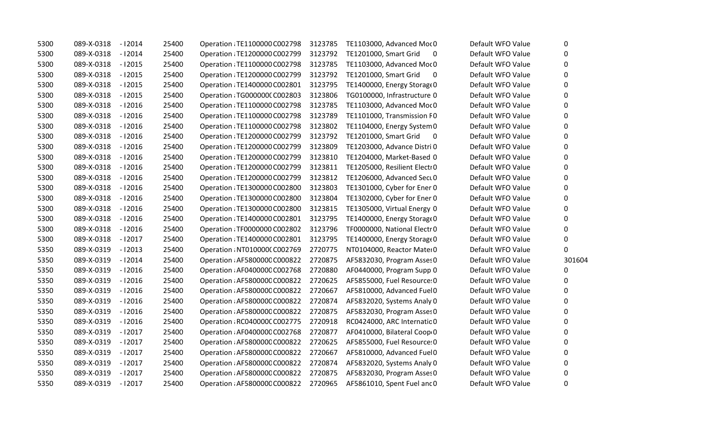| 5300 | $-12014$<br>089-X-0318 | 25400 | Operation : TE1100000 C002798 | 3123785 | TE1103000, Advanced Mor 0         | Default WFO Value | 0      |
|------|------------------------|-------|-------------------------------|---------|-----------------------------------|-------------------|--------|
| 5300 | 089-X-0318<br>$-12014$ | 25400 | Operation : TE1200000 C002799 | 3123792 | TE1201000, Smart Grid<br>0        | Default WFO Value | 0      |
| 5300 | 089-X-0318<br>$-12015$ | 25400 | Operation : TE1100000 C002798 | 3123785 | TE1103000, Advanced Mor 0         | Default WFO Value | 0      |
| 5300 | 089-X-0318<br>$-12015$ | 25400 | Operation : TE1200000 C002799 | 3123792 | TE1201000, Smart Grid<br>0        | Default WFO Value | 0      |
| 5300 | 089-X-0318<br>$-12015$ | 25400 | Operation : TE1400000 C002801 | 3123795 | TE1400000, Energy Storage0        | Default WFO Value | 0      |
| 5300 | 089-X-0318<br>$-12015$ | 25400 | Operation : TG000000C C002803 | 3123806 | TG0100000, Infrastructure 0       | Default WFO Value | 0      |
| 5300 | $-12016$<br>089-X-0318 | 25400 | Operation : TE1100000 C002798 | 3123785 | TE1103000, Advanced Mor 0         | Default WFO Value | 0      |
| 5300 | 089-X-0318<br>$-12016$ | 25400 | Operation : TE1100000 C002798 | 3123789 | TE1101000, Transmission F0        | Default WFO Value | 0      |
| 5300 | 089-X-0318<br>$-12016$ | 25400 | Operation : TE1100000 C002798 | 3123802 | TE1104000, Energy System 0        | Default WFO Value | 0      |
| 5300 | 089-X-0318<br>$-12016$ | 25400 | Operation : TE1200000 C002799 | 3123792 | TE1201000, Smart Grid<br>$\bf{0}$ | Default WFO Value | 0      |
| 5300 | 089-X-0318<br>$-12016$ | 25400 | Operation : TE1200000 C002799 | 3123809 | TE1203000, Advance Distri 0       | Default WFO Value | 0      |
| 5300 | 089-X-0318<br>$-12016$ | 25400 | Operation : TE1200000 C002799 | 3123810 | TE1204000, Market-Based 0         | Default WFO Value | 0      |
| 5300 | 089-X-0318<br>$-12016$ | 25400 | Operation : TE1200000 C002799 | 3123811 | TE1205000, Resilient Electi 0     | Default WFO Value | 0      |
| 5300 | 089-X-0318<br>$-12016$ | 25400 | Operation : TE1200000 C002799 | 3123812 | TE1206000, Advanced Sect 0        | Default WFO Value | 0      |
| 5300 | 089-X-0318<br>$-12016$ | 25400 | Operation : TE1300000 C002800 | 3123803 | TE1301000, Cyber for Ener 0       | Default WFO Value | 0      |
| 5300 | 089-X-0318<br>$-12016$ | 25400 | Operation : TE1300000 C002800 | 3123804 | TE1302000, Cyber for Ener 0       | Default WFO Value | 0      |
| 5300 | 089-X-0318<br>$-12016$ | 25400 | Operation : TE1300000 C002800 | 3123815 | TE1305000, Virtual Energy 0       | Default WFO Value | 0      |
| 5300 | 089-X-0318<br>$-12016$ | 25400 | Operation : TE1400000 C002801 | 3123795 | TE1400000, Energy Storage0        | Default WFO Value | 0      |
| 5300 | 089-X-0318<br>$-12016$ | 25400 | Operation : TF0000000 C002802 | 3123796 | TF0000000, National Electr 0      | Default WFO Value | 0      |
| 5300 | 089-X-0318<br>$-12017$ | 25400 | Operation : TE1400000 C002801 | 3123795 | TE1400000, Energy Storage0        | Default WFO Value | 0      |
| 5350 | 089-X-0319<br>$-12013$ | 25400 | Operation : NT010000(C002769  | 2720775 | NT0104000, Reactor Mater0         | Default WFO Value | 0      |
| 5350 | 089-X-0319<br>$-12014$ | 25400 | Operation : AF5800000 C000822 | 2720875 | AF5832030, Program Asses 0        | Default WFO Value | 301604 |
| 5350 | 089-X-0319<br>$-12016$ | 25400 | Operation : AF0400000 C002768 | 2720880 | AF0440000, Program Supp 0         | Default WFO Value | 0      |
| 5350 | 089-X-0319<br>$-12016$ | 25400 | Operation: AF5800000 C000822  | 2720625 | AF5855000, Fuel Resource: 0       | Default WFO Value | 0      |
| 5350 | 089-X-0319<br>$-12016$ | 25400 | Operation: AF5800000 C000822  | 2720667 | AF5810000, Advanced Fuel0         | Default WFO Value | 0      |
| 5350 | 089-X-0319<br>$-12016$ | 25400 | Operation : AF5800000 C000822 | 2720874 | AF5832020, Systems Analy 0        | Default WFO Value | 0      |
| 5350 | 089-X-0319<br>$-12016$ | 25400 | Operation : AF5800000 C000822 | 2720875 | AF5832030, Program Asses 0        | Default WFO Value | 0      |
| 5350 | 089-X-0319<br>$-12016$ | 25400 | Operation : RC040000C C002775 | 2720918 | RC0424000, ARC Internatic 0       | Default WFO Value | 0      |
| 5350 | 089-X-0319<br>$-12017$ | 25400 | Operation: AF0400000 C002768  | 2720877 | AF0410000, Bilateral Coop 0       | Default WFO Value | 0      |
| 5350 | 089-X-0319<br>$-12017$ | 25400 | Operation: AF5800000 C000822  | 2720625 | AF5855000, Fuel Resource: 0       | Default WFO Value | 0      |
| 5350 | 089-X-0319<br>$-12017$ | 25400 | Operation: AF5800000 C000822  | 2720667 | AF5810000, Advanced Fuel0         | Default WFO Value | 0      |
| 5350 | 089-X-0319<br>$-12017$ | 25400 | Operation: AF5800000 C000822  | 2720874 | AF5832020, Systems Analy 0        | Default WFO Value | 0      |
| 5350 | 089-X-0319<br>$-12017$ | 25400 | Operation : AF5800000 C000822 | 2720875 | AF5832030, Program Asses 0        | Default WFO Value | 0      |
| 5350 | 089-X-0319<br>$-12017$ | 25400 | Operation: AF5800000 C000822  | 2720965 | AF5861010, Spent Fuel and 0       | Default WFO Value | 0      |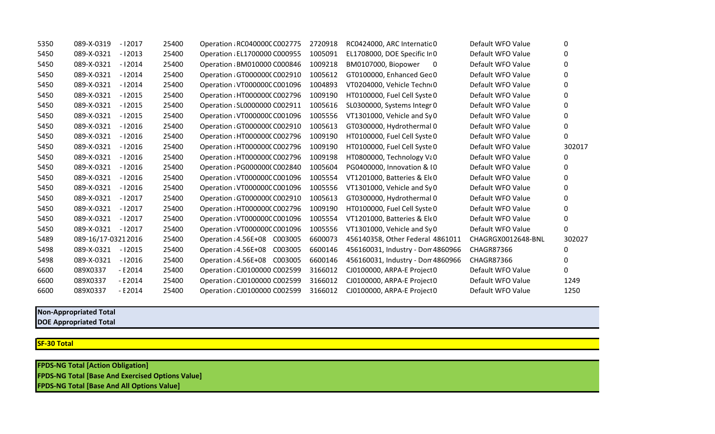| 5350 | 089-X-0319         | $-12017$   | 25400 | Operation: RC040000C C002775  | 2720918 | RC0424000, ARC Internatic 0       | Default WFO Value  | 0        |
|------|--------------------|------------|-------|-------------------------------|---------|-----------------------------------|--------------------|----------|
| 5450 | 089-X-0321         | $-12013$   | 25400 | Operation : EL1700000 C000955 | 1005091 | EL1708000, DOE Specific Ir 0      | Default WFO Value  | 0        |
| 5450 | 089-X-0321         | $-12014$   | 25400 | Operation : BM010000 C000846  | 1009218 | BM0107000, Biopower<br>0          | Default WFO Value  | 0        |
| 5450 | 089-X-0321         | $-12014$   | 25400 | Operation GT0000000 C002910   | 1005612 | GT0100000, Enhanced Gec 0         | Default WFO Value  | 0        |
| 5450 | 089-X-0321         | $-12014$   | 25400 | Operation : VT000000C C001096 | 1004893 | VT0204000, Vehicle Techn(0        | Default WFO Value  | 0        |
| 5450 | 089-X-0321         | $-12015$   | 25400 | Operation : HT0000000 C002796 | 1009190 | HT0100000, Fuel Cell Syste 0      | Default WFO Value  | 0        |
| 5450 | 089-X-0321         | $-12015$   | 25400 | Operation : SL0000000 C002911 | 1005616 | SL0300000, Systems Integr 0       | Default WFO Value  | 0        |
| 5450 | 089-X-0321         | $-12015$   | 25400 | Operation : VT000000C C001096 | 1005556 | VT1301000, Vehicle and Sy0        | Default WFO Value  | 0        |
| 5450 | 089-X-0321         | $-12016$   | 25400 | Operation GT0000000 C002910   | 1005613 | GT0300000, Hydrothermal 0         | Default WFO Value  | 0        |
| 5450 | 089-X-0321         | $-12016$   | 25400 | Operation : HT0000000 C002796 | 1009190 | HT0100000, Fuel Cell Syste 0      | Default WFO Value  | 0        |
| 5450 | 089-X-0321         | $-12016$   | 25400 | Operation : HT0000000 C002796 | 1009190 | HT0100000, Fuel Cell Syste 0      | Default WFO Value  | 302017   |
| 5450 | 089-X-0321         | $-12016$   | 25400 | Operation : HT0000000 C002796 | 1009198 | HT0800000, Technology Va0         | Default WFO Value  | 0        |
| 5450 | 089-X-0321         | $-12016$   | 25400 | Operation: PG000000(C002840   | 1005604 | PG0400000, Innovation & 10        | Default WFO Value  | 0        |
| 5450 | 089-X-0321         | $-12016$   | 25400 | Operation: VT000000C C001096  | 1005554 | VT1201000, Batteries & EleO       | Default WFO Value  | 0        |
| 5450 | 089-X-0321         | $-12016$   | 25400 | Operation: VT000000C C001096  | 1005556 | VT1301000, Vehicle and Sy0        | Default WFO Value  | 0        |
| 5450 | 089-X-0321         | $-12017$   | 25400 | Operation GT0000000 C002910   | 1005613 | GT0300000, Hydrothermal 0         | Default WFO Value  | 0        |
| 5450 | 089-X-0321         | $-12017$   | 25400 | Operation : HT0000000 C002796 | 1009190 | HT0100000, Fuel Cell Syste 0      | Default WFO Value  | 0        |
| 5450 | 089-X-0321         | $-12017$   | 25400 | Operation: VT000000C C001096  | 1005554 | VT1201000, Batteries & EleO       | Default WFO Value  | 0        |
| 5450 | 089-X-0321         | $-12017$   | 25400 | Operation: VT000000C C001096  | 1005556 | VT1301000, Vehicle and Sy0        | Default WFO Value  | 0        |
| 5489 | 089-16/17-03212016 |            | 25400 | Operation: 4.56E+08 C003005   | 6600073 | 456140358, Other Federal 4861011  | CHAGRGX0012648-BNL | 302027   |
| 5498 | 089-X-0321         | $-12015$   | 25400 | Operation: 4.56E+08 C003005   | 6600146 | 456160031, Industry - Don 4860966 | <b>CHAGR87366</b>  | $\Omega$ |
| 5498 | 089-X-0321         | $-12016$   | 25400 | Operation: 4.56E+08 C003005   | 6600146 | 456160031, Industry - Don 4860966 | <b>CHAGR87366</b>  | 0        |
| 6600 | 089X0337           | - E 2014   | 25400 | Operation : CJ0100000 C002599 | 3166012 | CJ0100000, ARPA-E Project0        | Default WFO Value  | 0        |
| 6600 | 089X0337           | $-$ E 2014 | 25400 | Operation : CJ0100000 C002599 | 3166012 | CJ0100000, ARPA-E Project0        | Default WFO Value  | 1249     |
| 6600 | 089X0337           | $- E 2014$ | 25400 | Operation : CJ0100000 C002599 | 3166012 | CJ0100000, ARPA-E Project 0       | Default WFO Value  | 1250     |

## **Non-Appropriated Total**

**DOE Appropriated Total**

**SF-30 Total**

**FPDS-NG Total [Action Obligation] FPDS-NG Total [Base And Exercised Options Value] FPDS-NG Total [Base And All Options Value]**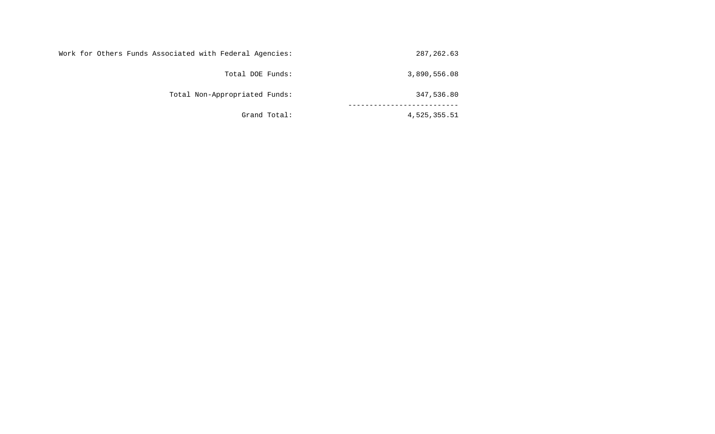| 287,262.63   | Work for Others Funds Associated with Federal Agencies: |
|--------------|---------------------------------------------------------|
| 3,890,556.08 | Total DOE Funds:                                        |
| 347,536.80   | Total Non-Appropriated Funds:                           |
| 4,525,355.51 | Grand Total:                                            |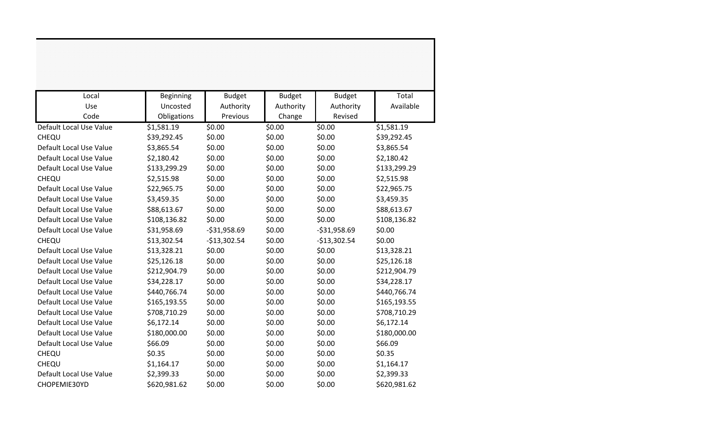| Local                   | Beginning    | <b>Budget</b> | <b>Budget</b> | <b>Budget</b> | Total        |
|-------------------------|--------------|---------------|---------------|---------------|--------------|
| Use                     | Uncosted     | Authority     | Authority     | Authority     | Available    |
| Code                    | Obligations  | Previous      | Change        | Revised       |              |
| Default Local Use Value | \$1,581.19   | \$0.00        | \$0.00        | \$0.00        | \$1,581.19   |
| CHEQU                   | \$39,292.45  | \$0.00        | \$0.00        | \$0.00        | \$39,292.45  |
| Default Local Use Value | \$3,865.54   | \$0.00        | \$0.00        | \$0.00        | \$3,865.54   |
| Default Local Use Value | \$2,180.42   | \$0.00        | \$0.00        | \$0.00        | \$2,180.42   |
| Default Local Use Value | \$133,299.29 | \$0.00        | \$0.00        | \$0.00        | \$133,299.29 |
| CHEQU                   | \$2,515.98   | \$0.00        | \$0.00        | \$0.00        | \$2,515.98   |
| Default Local Use Value | \$22,965.75  | \$0.00        | \$0.00        | \$0.00        | \$22,965.75  |
| Default Local Use Value | \$3,459.35   | \$0.00        | \$0.00        | \$0.00        | \$3,459.35   |
| Default Local Use Value | \$88,613.67  | \$0.00        | \$0.00        | \$0.00        | \$88,613.67  |
| Default Local Use Value | \$108,136.82 | \$0.00        | \$0.00        | \$0.00        | \$108,136.82 |
| Default Local Use Value | \$31,958.69  | $-531,958.69$ | \$0.00        | $-531,958.69$ | \$0.00       |
| CHEQU                   | \$13,302.54  | $-$13,302.54$ | \$0.00        | $-$13,302.54$ | \$0.00       |
| Default Local Use Value | \$13,328.21  | \$0.00        | \$0.00        | \$0.00        | \$13,328.21  |
| Default Local Use Value | \$25,126.18  | \$0.00        | \$0.00        | \$0.00        | \$25,126.18  |
| Default Local Use Value | \$212,904.79 | \$0.00        | \$0.00        | \$0.00        | \$212,904.79 |
| Default Local Use Value | \$34,228.17  | \$0.00        | \$0.00        | \$0.00        | \$34,228.17  |
| Default Local Use Value | \$440,766.74 | \$0.00        | \$0.00        | \$0.00        | \$440,766.74 |
| Default Local Use Value | \$165,193.55 | \$0.00        | \$0.00        | \$0.00        | \$165,193.55 |
| Default Local Use Value | \$708,710.29 | \$0.00        | \$0.00        | \$0.00        | \$708,710.29 |
| Default Local Use Value | \$6,172.14   | \$0.00        | \$0.00        | \$0.00        | \$6,172.14   |
| Default Local Use Value | \$180,000.00 | \$0.00        | \$0.00        | \$0.00        | \$180,000.00 |
| Default Local Use Value | \$66.09      | \$0.00        | \$0.00        | \$0.00        | \$66.09      |
| CHEQU                   | \$0.35       | \$0.00        | \$0.00        | \$0.00        | \$0.35       |
| CHEQU                   | \$1,164.17   | \$0.00        | \$0.00        | \$0.00        | \$1,164.17   |
| Default Local Use Value | \$2,399.33   | \$0.00        | \$0.00        | \$0.00        | \$2,399.33   |
| CHOPEMIE30YD            | \$620,981.62 | \$0.00        | \$0.00        | \$0.00        | \$620,981.62 |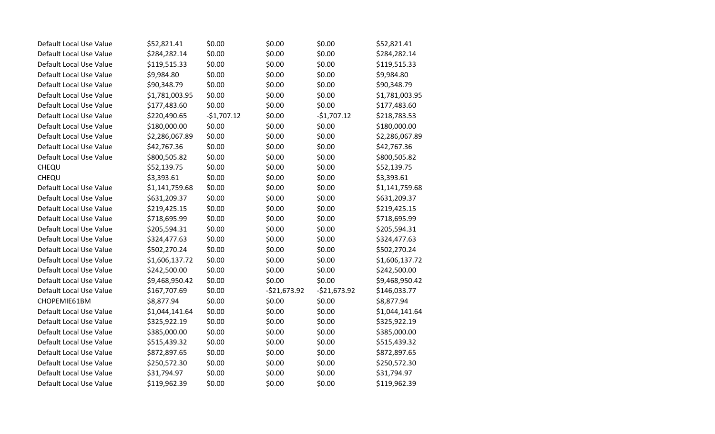| Default Local Use Value | \$52,821.41    | \$0.00       | \$0.00        | \$0.00        | \$52,821.41    |
|-------------------------|----------------|--------------|---------------|---------------|----------------|
| Default Local Use Value | \$284,282.14   | \$0.00       | \$0.00        | \$0.00        | \$284,282.14   |
| Default Local Use Value | \$119,515.33   | \$0.00       | \$0.00        | \$0.00        | \$119,515.33   |
| Default Local Use Value | \$9,984.80     | \$0.00       | \$0.00        | \$0.00        | \$9,984.80     |
| Default Local Use Value | \$90,348.79    | \$0.00       | \$0.00        | \$0.00        | \$90,348.79    |
| Default Local Use Value | \$1,781,003.95 | \$0.00       | \$0.00        | \$0.00        | \$1,781,003.95 |
| Default Local Use Value | \$177,483.60   | \$0.00       | \$0.00        | \$0.00        | \$177,483.60   |
| Default Local Use Value | \$220,490.65   | $-$1,707.12$ | \$0.00        | $-$1,707.12$  | \$218,783.53   |
| Default Local Use Value | \$180,000.00   | \$0.00       | \$0.00        | \$0.00        | \$180,000.00   |
| Default Local Use Value | \$2,286,067.89 | \$0.00       | \$0.00        | \$0.00        | \$2,286,067.89 |
| Default Local Use Value | \$42,767.36    | \$0.00       | \$0.00        | \$0.00        | \$42,767.36    |
| Default Local Use Value | \$800,505.82   | \$0.00       | \$0.00        | \$0.00        | \$800,505.82   |
| CHEQU                   | \$52,139.75    | \$0.00       | \$0.00        | \$0.00        | \$52,139.75    |
| CHEQU                   | \$3,393.61     | \$0.00       | \$0.00        | \$0.00        | \$3,393.61     |
| Default Local Use Value | \$1,141,759.68 | \$0.00       | \$0.00        | \$0.00        | \$1,141,759.68 |
| Default Local Use Value | \$631,209.37   | \$0.00       | \$0.00        | \$0.00        | \$631,209.37   |
| Default Local Use Value | \$219,425.15   | \$0.00       | \$0.00        | \$0.00        | \$219,425.15   |
| Default Local Use Value | \$718,695.99   | \$0.00       | \$0.00        | \$0.00        | \$718,695.99   |
| Default Local Use Value | \$205,594.31   | \$0.00       | \$0.00        | \$0.00        | \$205,594.31   |
| Default Local Use Value | \$324,477.63   | \$0.00       | \$0.00        | \$0.00        | \$324,477.63   |
| Default Local Use Value | \$502,270.24   | \$0.00       | \$0.00        | \$0.00        | \$502,270.24   |
| Default Local Use Value | \$1,606,137.72 | \$0.00       | \$0.00        | \$0.00        | \$1,606,137.72 |
| Default Local Use Value | \$242,500.00   | \$0.00       | \$0.00        | \$0.00        | \$242,500.00   |
| Default Local Use Value | \$9,468,950.42 | \$0.00       | \$0.00        | \$0.00        | \$9,468,950.42 |
| Default Local Use Value | \$167,707.69   | \$0.00       | $-521,673.92$ | $-$21,673.92$ | \$146,033.77   |
| CHOPEMIE61BM            | \$8,877.94     | \$0.00       | \$0.00        | \$0.00        | \$8,877.94     |
| Default Local Use Value | \$1,044,141.64 | \$0.00       | \$0.00        | \$0.00        | \$1,044,141.64 |
| Default Local Use Value | \$325,922.19   | \$0.00       | \$0.00        | \$0.00        | \$325,922.19   |
| Default Local Use Value | \$385,000.00   | \$0.00       | \$0.00        | \$0.00        | \$385,000.00   |
| Default Local Use Value | \$515,439.32   | \$0.00       | \$0.00        | \$0.00        | \$515,439.32   |
| Default Local Use Value | \$872,897.65   | \$0.00       | \$0.00        | \$0.00        | \$872,897.65   |
| Default Local Use Value | \$250,572.30   | \$0.00       | \$0.00        | \$0.00        | \$250,572.30   |
| Default Local Use Value | \$31,794.97    | \$0.00       | \$0.00        | \$0.00        | \$31,794.97    |
| Default Local Use Value | \$119,962.39   | \$0.00       | \$0.00        | \$0.00        | \$119,962.39   |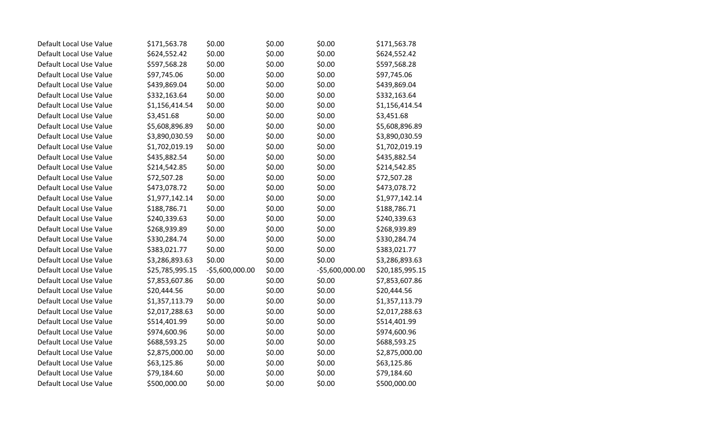| Default Local Use Value | \$171,563.78    | \$0.00          | \$0.00 | \$0.00          | \$171,563.78    |
|-------------------------|-----------------|-----------------|--------|-----------------|-----------------|
| Default Local Use Value | \$624,552.42    | \$0.00          | \$0.00 | \$0.00          | \$624,552.42    |
| Default Local Use Value | \$597,568.28    | \$0.00          | \$0.00 | \$0.00          | \$597,568.28    |
| Default Local Use Value | \$97,745.06     | \$0.00          | \$0.00 | \$0.00          | \$97,745.06     |
| Default Local Use Value | \$439,869.04    | \$0.00          | \$0.00 | \$0.00          | \$439,869.04    |
| Default Local Use Value | \$332,163.64    | \$0.00          | \$0.00 | \$0.00          | \$332,163.64    |
| Default Local Use Value | \$1,156,414.54  | \$0.00          | \$0.00 | \$0.00          | \$1,156,414.54  |
| Default Local Use Value | \$3,451.68      | \$0.00          | \$0.00 | \$0.00          | \$3,451.68      |
| Default Local Use Value | \$5,608,896.89  | \$0.00          | \$0.00 | \$0.00          | \$5,608,896.89  |
| Default Local Use Value | \$3,890,030.59  | \$0.00          | \$0.00 | \$0.00          | \$3,890,030.59  |
| Default Local Use Value | \$1,702,019.19  | \$0.00          | \$0.00 | \$0.00          | \$1,702,019.19  |
| Default Local Use Value | \$435,882.54    | \$0.00          | \$0.00 | \$0.00          | \$435,882.54    |
| Default Local Use Value | \$214,542.85    | \$0.00          | \$0.00 | \$0.00          | \$214,542.85    |
| Default Local Use Value | \$72,507.28     | \$0.00          | \$0.00 | \$0.00          | \$72,507.28     |
| Default Local Use Value | \$473,078.72    | \$0.00          | \$0.00 | \$0.00          | \$473,078.72    |
| Default Local Use Value | \$1,977,142.14  | \$0.00          | \$0.00 | \$0.00          | \$1,977,142.14  |
| Default Local Use Value | \$188,786.71    | \$0.00          | \$0.00 | \$0.00          | \$188,786.71    |
| Default Local Use Value | \$240,339.63    | \$0.00          | \$0.00 | \$0.00          | \$240,339.63    |
| Default Local Use Value | \$268,939.89    | \$0.00          | \$0.00 | \$0.00          | \$268,939.89    |
| Default Local Use Value | \$330,284.74    | \$0.00          | \$0.00 | \$0.00          | \$330,284.74    |
| Default Local Use Value | \$383,021.77    | \$0.00          | \$0.00 | \$0.00          | \$383,021.77    |
| Default Local Use Value | \$3,286,893.63  | \$0.00          | \$0.00 | \$0.00          | \$3,286,893.63  |
| Default Local Use Value | \$25,785,995.15 | -\$5,600,000.00 | \$0.00 | -\$5,600,000.00 | \$20,185,995.15 |
| Default Local Use Value | \$7,853,607.86  | \$0.00          | \$0.00 | \$0.00          | \$7,853,607.86  |
| Default Local Use Value | \$20,444.56     | \$0.00          | \$0.00 | \$0.00          | \$20,444.56     |
| Default Local Use Value | \$1,357,113.79  | \$0.00          | \$0.00 | \$0.00          | \$1,357,113.79  |
| Default Local Use Value | \$2,017,288.63  | \$0.00          | \$0.00 | \$0.00          | \$2,017,288.63  |
| Default Local Use Value | \$514,401.99    | \$0.00          | \$0.00 | \$0.00          | \$514,401.99    |
| Default Local Use Value | \$974,600.96    | \$0.00          | \$0.00 | \$0.00          | \$974,600.96    |
| Default Local Use Value | \$688,593.25    | \$0.00          | \$0.00 | \$0.00          | \$688,593.25    |
| Default Local Use Value | \$2,875,000.00  | \$0.00          | \$0.00 | \$0.00          | \$2,875,000.00  |
| Default Local Use Value | \$63,125.86     | \$0.00          | \$0.00 | \$0.00          | \$63,125.86     |
| Default Local Use Value | \$79,184.60     | \$0.00          | \$0.00 | \$0.00          | \$79,184.60     |
| Default Local Use Value | \$500,000.00    | \$0.00          | \$0.00 | \$0.00          | \$500,000.00    |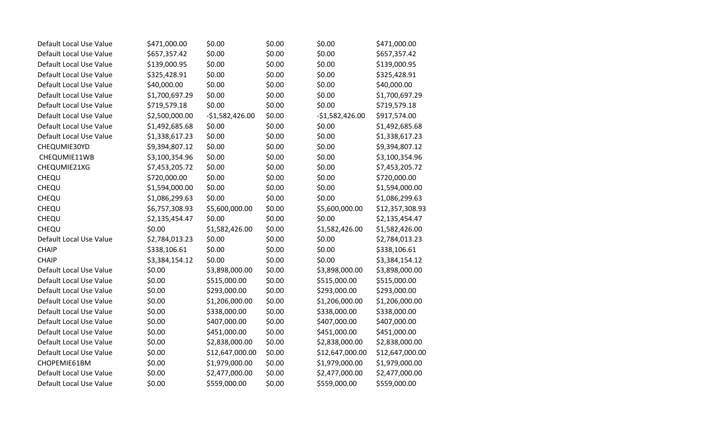| Default Local Use Value | \$471,000.00   | \$0.00           | \$0.00 | \$0.00           | \$471,000.00    |
|-------------------------|----------------|------------------|--------|------------------|-----------------|
| Default Local Use Value | \$657,357.42   | \$0.00           | \$0.00 | \$0.00           | \$657,357.42    |
| Default Local Use Value | \$139,000.95   | \$0.00           | \$0.00 | \$0.00           | \$139,000.95    |
| Default Local Use Value | \$325,428.91   | \$0.00           | \$0.00 | \$0.00           | \$325,428.91    |
| Default Local Use Value | \$40,000.00    | \$0.00           | \$0.00 | \$0.00           | \$40,000.00     |
| Default Local Use Value | \$1,700,697.29 | \$0.00           | \$0.00 | \$0.00           | \$1,700,697.29  |
| Default Local Use Value | \$719,579.18   | \$0.00           | \$0.00 | \$0.00           | \$719,579.18    |
| Default Local Use Value | \$2,500,000.00 | $-51,582,426.00$ | \$0.00 | $-$1,582,426.00$ | \$917,574.00    |
| Default Local Use Value | \$1,492,685.68 | \$0.00           | \$0.00 | \$0.00           | \$1,492,685.68  |
| Default Local Use Value | \$1,338,617.23 | \$0.00           | \$0.00 | \$0.00           | \$1,338,617.23  |
| CHEQUMIE30YD            | \$9,394,807.12 | \$0.00           | \$0.00 | \$0.00           | \$9,394,807.12  |
| CHEQUMIE11WB            | \$3,100,354.96 | \$0.00           | \$0.00 | \$0.00           | \$3,100,354.96  |
| CHEQUMIE21XG            | \$7,453,205.72 | \$0.00           | \$0.00 | \$0.00           | \$7,453,205.72  |
| CHEQU                   | \$720,000.00   | \$0.00           | \$0.00 | \$0.00           | \$720,000.00    |
| CHEQU                   | \$1,594,000.00 | \$0.00           | \$0.00 | \$0.00           | \$1,594,000.00  |
| CHEQU                   | \$1,086,299.63 | \$0.00           | \$0.00 | \$0.00           | \$1,086,299.63  |
| CHEQU                   | \$6,757,308.93 | \$5,600,000.00   | \$0.00 | \$5,600,000.00   | \$12,357,308.93 |
| CHEQU                   | \$2,135,454.47 | \$0.00           | \$0.00 | \$0.00           | \$2,135,454.47  |
| CHEQU                   | \$0.00         | \$1,582,426.00   | \$0.00 | \$1,582,426.00   | \$1,582,426.00  |
| Default Local Use Value | \$2,784,013.23 | \$0.00           | \$0.00 | \$0.00           | \$2,784,013.23  |
| <b>CHAIP</b>            | \$338,106.61   | \$0.00           | \$0.00 | \$0.00           | \$338,106.61    |
| <b>CHAIP</b>            | \$3,384,154.12 | \$0.00           | \$0.00 | \$0.00           | \$3,384,154.12  |
| Default Local Use Value | \$0.00         | \$3,898,000.00   | \$0.00 | \$3,898,000.00   | \$3,898,000.00  |
| Default Local Use Value | \$0.00         | \$515,000.00     | \$0.00 | \$515,000.00     | \$515,000.00    |
| Default Local Use Value | \$0.00         | \$293,000.00     | \$0.00 | \$293,000.00     | \$293,000.00    |
| Default Local Use Value | \$0.00         | \$1,206,000.00   | \$0.00 | \$1,206,000.00   | \$1,206,000.00  |
| Default Local Use Value | \$0.00         | \$338,000.00     | \$0.00 | \$338,000.00     | \$338,000.00    |
| Default Local Use Value | \$0.00         | \$407,000.00     | \$0.00 | \$407,000.00     | \$407,000.00    |
| Default Local Use Value | \$0.00         | \$451,000.00     | \$0.00 | \$451,000.00     | \$451,000.00    |
| Default Local Use Value | \$0.00         | \$2,838,000.00   | \$0.00 | \$2,838,000.00   | \$2,838,000.00  |
| Default Local Use Value | \$0.00         | \$12,647,000.00  | \$0.00 | \$12,647,000.00  | \$12,647,000.00 |
| CHOPEMIE61BM            | \$0.00         | \$1,979,000.00   | \$0.00 | \$1,979,000.00   | \$1,979,000.00  |
| Default Local Use Value | \$0.00         | \$2,477,000.00   | \$0.00 | \$2,477,000.00   | \$2,477,000.00  |
| Default Local Use Value | \$0.00         | \$559,000.00     | \$0.00 | \$559,000.00     | \$559,000.00    |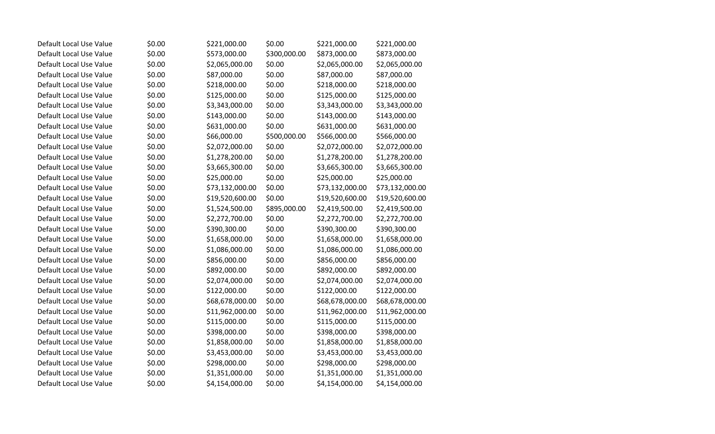| Default Local Use Value | \$0.00 | \$221,000.00    | \$0.00       | \$221,000.00    | \$221,000.00    |
|-------------------------|--------|-----------------|--------------|-----------------|-----------------|
| Default Local Use Value | \$0.00 | \$573,000.00    | \$300,000.00 | \$873,000.00    | \$873,000.00    |
| Default Local Use Value | \$0.00 | \$2,065,000.00  | \$0.00       | \$2,065,000.00  | \$2,065,000.00  |
| Default Local Use Value | \$0.00 | \$87,000.00     | \$0.00       | \$87,000.00     | \$87,000.00     |
| Default Local Use Value | \$0.00 | \$218,000.00    | \$0.00       | \$218,000.00    | \$218,000.00    |
| Default Local Use Value | \$0.00 | \$125,000.00    | \$0.00       | \$125,000.00    | \$125,000.00    |
| Default Local Use Value | \$0.00 | \$3,343,000.00  | \$0.00       | \$3,343,000.00  | \$3,343,000.00  |
| Default Local Use Value | \$0.00 | \$143,000.00    | \$0.00       | \$143,000.00    | \$143,000.00    |
| Default Local Use Value | \$0.00 | \$631,000.00    | \$0.00       | \$631,000.00    | \$631,000.00    |
| Default Local Use Value | \$0.00 | \$66,000.00     | \$500,000.00 | \$566,000.00    | \$566,000.00    |
| Default Local Use Value | \$0.00 | \$2,072,000.00  | \$0.00       | \$2,072,000.00  | \$2,072,000.00  |
| Default Local Use Value | \$0.00 | \$1,278,200.00  | \$0.00       | \$1,278,200.00  | \$1,278,200.00  |
| Default Local Use Value | \$0.00 | \$3,665,300.00  | \$0.00       | \$3,665,300.00  | \$3,665,300.00  |
| Default Local Use Value | \$0.00 | \$25,000.00     | \$0.00       | \$25,000.00     | \$25,000.00     |
| Default Local Use Value | \$0.00 | \$73,132,000.00 | \$0.00       | \$73,132,000.00 | \$73,132,000.00 |
| Default Local Use Value | \$0.00 | \$19,520,600.00 | \$0.00       | \$19,520,600.00 | \$19,520,600.00 |
| Default Local Use Value | \$0.00 | \$1,524,500.00  | \$895,000.00 | \$2,419,500.00  | \$2,419,500.00  |
| Default Local Use Value | \$0.00 | \$2,272,700.00  | \$0.00       | \$2,272,700.00  | \$2,272,700.00  |
| Default Local Use Value | \$0.00 | \$390,300.00    | \$0.00       | \$390,300.00    | \$390,300.00    |
| Default Local Use Value | \$0.00 | \$1,658,000.00  | \$0.00       | \$1,658,000.00  | \$1,658,000.00  |
| Default Local Use Value | \$0.00 | \$1,086,000.00  | \$0.00       | \$1,086,000.00  | \$1,086,000.00  |
| Default Local Use Value | \$0.00 | \$856,000.00    | \$0.00       | \$856,000.00    | \$856,000.00    |
| Default Local Use Value | \$0.00 | \$892,000.00    | \$0.00       | \$892,000.00    | \$892,000.00    |
| Default Local Use Value | \$0.00 | \$2,074,000.00  | \$0.00       | \$2,074,000.00  | \$2,074,000.00  |
| Default Local Use Value | \$0.00 | \$122,000.00    | \$0.00       | \$122,000.00    | \$122,000.00    |
| Default Local Use Value | \$0.00 | \$68,678,000.00 | \$0.00       | \$68,678,000.00 | \$68,678,000.00 |
| Default Local Use Value | \$0.00 | \$11,962,000.00 | \$0.00       | \$11,962,000.00 | \$11,962,000.00 |
| Default Local Use Value | \$0.00 | \$115,000.00    | \$0.00       | \$115,000.00    | \$115,000.00    |
| Default Local Use Value | \$0.00 | \$398,000.00    | \$0.00       | \$398,000.00    | \$398,000.00    |
| Default Local Use Value | \$0.00 | \$1,858,000.00  | \$0.00       | \$1,858,000.00  | \$1,858,000.00  |
| Default Local Use Value | \$0.00 | \$3,453,000.00  | \$0.00       | \$3,453,000.00  | \$3,453,000.00  |
| Default Local Use Value | \$0.00 | \$298,000.00    | \$0.00       | \$298,000.00    | \$298,000.00    |
| Default Local Use Value | \$0.00 | \$1,351,000.00  | \$0.00       | \$1,351,000.00  | \$1,351,000.00  |
| Default Local Use Value | \$0.00 | \$4,154,000.00  | \$0.00       | \$4,154,000.00  | \$4,154,000.00  |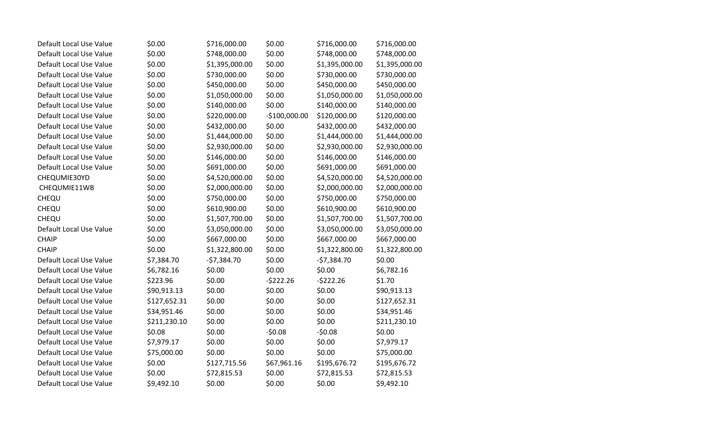| Default Local Use Value | \$0.00       | \$716,000.00   | \$0.00         | \$716,000.00   | \$716,000.00   |
|-------------------------|--------------|----------------|----------------|----------------|----------------|
| Default Local Use Value | \$0.00       | \$748,000.00   | \$0.00         | \$748,000.00   | \$748,000.00   |
| Default Local Use Value | \$0.00       | \$1,395,000.00 | \$0.00         | \$1,395,000.00 | \$1,395,000.00 |
| Default Local Use Value | \$0.00       | \$730,000.00   | \$0.00         | \$730,000.00   | \$730,000.00   |
| Default Local Use Value | \$0.00       | \$450,000.00   | \$0.00         | \$450,000.00   | \$450,000.00   |
| Default Local Use Value | \$0.00       | \$1,050,000.00 | \$0.00         | \$1,050,000.00 | \$1,050,000.00 |
| Default Local Use Value | \$0.00       | \$140,000.00   | \$0.00         | \$140,000.00   | \$140,000.00   |
| Default Local Use Value | \$0.00       | \$220,000.00   | $-$100,000.00$ | \$120,000.00   | \$120,000.00   |
| Default Local Use Value | \$0.00       | \$432,000.00   | \$0.00         | \$432,000.00   | \$432,000.00   |
| Default Local Use Value | \$0.00       | \$1,444,000.00 | \$0.00         | \$1,444,000.00 | \$1,444,000.00 |
| Default Local Use Value | \$0.00       | \$2,930,000.00 | \$0.00         | \$2,930,000.00 | \$2,930,000.00 |
| Default Local Use Value | \$0.00       | \$146,000.00   | \$0.00         | \$146,000.00   | \$146,000.00   |
| Default Local Use Value | \$0.00       | \$691,000.00   | \$0.00         | \$691,000.00   | \$691,000.00   |
| CHEQUMIE30YD            | \$0.00       | \$4,520,000.00 | \$0.00         | \$4,520,000.00 | \$4,520,000.00 |
| CHEQUMIE11WB            | \$0.00       | \$2,000,000.00 | \$0.00         | \$2,000,000.00 | \$2,000,000.00 |
| CHEQU                   | \$0.00       | \$750,000.00   | \$0.00         | \$750,000.00   | \$750,000.00   |
| CHEQU                   | \$0.00       | \$610,900.00   | \$0.00         | \$610,900.00   | \$610,900.00   |
| CHEQU                   | \$0.00       | \$1,507,700.00 | \$0.00         | \$1,507,700.00 | \$1,507,700.00 |
| Default Local Use Value | \$0.00       | \$3,050,000.00 | \$0.00         | \$3,050,000.00 | \$3,050,000.00 |
| <b>CHAIP</b>            | \$0.00       | \$667,000.00   | \$0.00         | \$667,000.00   | \$667,000.00   |
| <b>CHAIP</b>            | \$0.00       | \$1,322,800.00 | \$0.00         | \$1,322,800.00 | \$1,322,800.00 |
| Default Local Use Value | \$7,384.70   | $-57,384.70$   | \$0.00         | $-57,384.70$   | \$0.00         |
| Default Local Use Value | \$6,782.16   | \$0.00         | \$0.00         | \$0.00         | \$6,782.16     |
| Default Local Use Value | \$223.96     | \$0.00         | $-5222.26$     | $-5222.26$     | \$1.70         |
| Default Local Use Value | \$90,913.13  | \$0.00         | \$0.00         | \$0.00         | \$90,913.13    |
| Default Local Use Value | \$127,652.31 | \$0.00         | \$0.00         | \$0.00         | \$127,652.31   |
| Default Local Use Value | \$34,951.46  | \$0.00         | \$0.00         | \$0.00         | \$34,951.46    |
| Default Local Use Value | \$211,230.10 | \$0.00         | \$0.00         | \$0.00         | \$211,230.10   |
| Default Local Use Value | \$0.08       | \$0.00         | $-50.08$       | $-50.08$       | \$0.00         |
| Default Local Use Value | \$7,979.17   | \$0.00         | \$0.00         | \$0.00         | \$7,979.17     |
| Default Local Use Value | \$75,000.00  | \$0.00         | \$0.00         | \$0.00         | \$75,000.00    |
| Default Local Use Value | \$0.00       | \$127,715.56   | \$67,961.16    | \$195,676.72   | \$195,676.72   |
| Default Local Use Value | \$0.00       | \$72,815.53    | \$0.00         | \$72,815.53    | \$72,815.53    |
| Default Local Use Value | \$9,492.10   | \$0.00         | \$0.00         | \$0.00         | \$9,492.10     |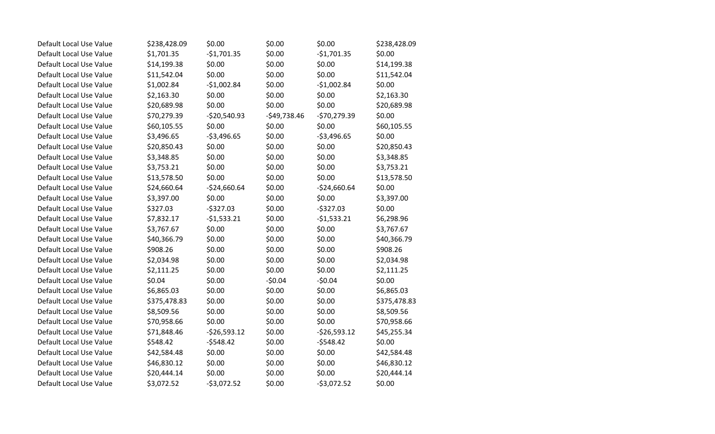| Default Local Use Value | \$238,428.09 | \$0.00        | \$0.00        | \$0.00        | \$238,428.09 |
|-------------------------|--------------|---------------|---------------|---------------|--------------|
| Default Local Use Value | \$1,701.35   | $-$1,701.35$  | \$0.00        | $-51,701.35$  | \$0.00       |
| Default Local Use Value | \$14,199.38  | \$0.00        | \$0.00        | \$0.00        | \$14,199.38  |
| Default Local Use Value | \$11,542.04  | \$0.00        | \$0.00        | \$0.00        | \$11,542.04  |
| Default Local Use Value | \$1,002.84   | $-$1,002.84$  | \$0.00        | $-$1,002.84$  | \$0.00       |
| Default Local Use Value | \$2,163.30   | \$0.00        | \$0.00        | \$0.00        | \$2,163.30   |
| Default Local Use Value | \$20,689.98  | \$0.00        | \$0.00        | \$0.00        | \$20,689.98  |
| Default Local Use Value | \$70,279.39  | $-$20,540.93$ | $-$49,738.46$ | $-570,279.39$ | \$0.00       |
| Default Local Use Value | \$60,105.55  | \$0.00        | \$0.00        | \$0.00        | \$60,105.55  |
| Default Local Use Value | \$3,496.65   | $-53,496.65$  | \$0.00        | $-53,496.65$  | \$0.00       |
| Default Local Use Value | \$20,850.43  | \$0.00        | \$0.00        | \$0.00        | \$20,850.43  |
| Default Local Use Value | \$3,348.85   | \$0.00        | \$0.00        | \$0.00        | \$3,348.85   |
| Default Local Use Value | \$3,753.21   | \$0.00        | \$0.00        | \$0.00        | \$3,753.21   |
| Default Local Use Value | \$13,578.50  | \$0.00        | \$0.00        | \$0.00        | \$13,578.50  |
| Default Local Use Value | \$24,660.64  | $-$24,660.64$ | \$0.00        | $-524,660.64$ | \$0.00       |
| Default Local Use Value | \$3,397.00   | \$0.00        | \$0.00        | \$0.00        | \$3,397.00   |
| Default Local Use Value | \$327.03     | $-$327.03$    | \$0.00        | $-5327.03$    | \$0.00       |
| Default Local Use Value | \$7,832.17   | $-51,533.21$  | \$0.00        | $-51,533.21$  | \$6,298.96   |
| Default Local Use Value | \$3,767.67   | \$0.00        | \$0.00        | \$0.00        | \$3,767.67   |
| Default Local Use Value | \$40,366.79  | \$0.00        | \$0.00        | \$0.00        | \$40,366.79  |
| Default Local Use Value | \$908.26     | \$0.00        | \$0.00        | \$0.00        | \$908.26     |
| Default Local Use Value | \$2,034.98   | \$0.00        | \$0.00        | \$0.00        | \$2,034.98   |
| Default Local Use Value | \$2,111.25   | \$0.00        | \$0.00        | \$0.00        | \$2,111.25   |
| Default Local Use Value | \$0.04       | \$0.00        | $-50.04$      | $-50.04$      | \$0.00       |
| Default Local Use Value | \$6,865.03   | \$0.00        | \$0.00        | \$0.00        | \$6,865.03   |
| Default Local Use Value | \$375,478.83 | \$0.00        | \$0.00        | \$0.00        | \$375,478.83 |
| Default Local Use Value | \$8,509.56   | \$0.00        | \$0.00        | \$0.00        | \$8,509.56   |
| Default Local Use Value | \$70,958.66  | \$0.00        | \$0.00        | \$0.00        | \$70,958.66  |
| Default Local Use Value | \$71,848.46  | $-526,593.12$ | \$0.00        | $-526,593.12$ | \$45,255.34  |
| Default Local Use Value | \$548.42     | $-5548.42$    | \$0.00        | $-5548.42$    | \$0.00       |
| Default Local Use Value | \$42,584.48  | \$0.00        | \$0.00        | \$0.00        | \$42,584.48  |
| Default Local Use Value | \$46,830.12  | \$0.00        | \$0.00        | \$0.00        | \$46,830.12  |
| Default Local Use Value | \$20,444.14  | \$0.00        | \$0.00        | \$0.00        | \$20,444.14  |
| Default Local Use Value | \$3,072.52   | $-53,072.52$  | \$0.00        | $-53,072.52$  | \$0.00       |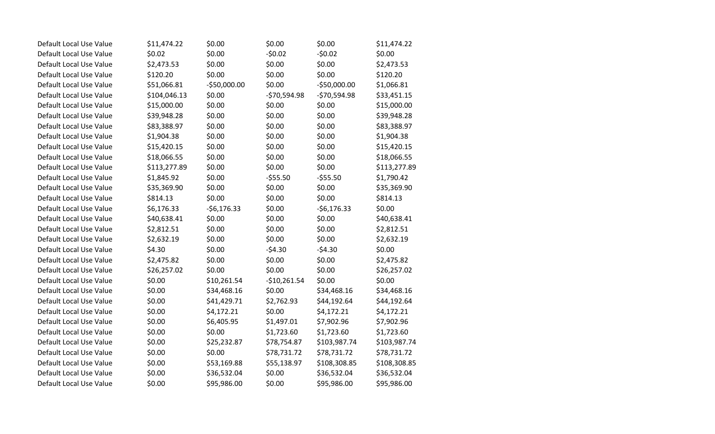| Default Local Use Value | \$11,474.22  | \$0.00       | \$0.00        | \$0.00        | \$11,474.22  |
|-------------------------|--------------|--------------|---------------|---------------|--------------|
| Default Local Use Value | \$0.02       | \$0.00       | $-50.02$      | $-50.02$      | \$0.00       |
| Default Local Use Value | \$2,473.53   | \$0.00       | \$0.00        | \$0.00        | \$2,473.53   |
| Default Local Use Value | \$120.20     | \$0.00       | \$0.00        | \$0.00        | \$120.20     |
| Default Local Use Value | \$51,066.81  | -\$50,000.00 | \$0.00        | $-$50,000.00$ | \$1,066.81   |
| Default Local Use Value | \$104,046.13 | \$0.00       | $-570,594.98$ | $-570,594.98$ | \$33,451.15  |
| Default Local Use Value | \$15,000.00  | \$0.00       | \$0.00        | \$0.00        | \$15,000.00  |
| Default Local Use Value | \$39,948.28  | \$0.00       | \$0.00        | \$0.00        | \$39,948.28  |
| Default Local Use Value | \$83,388.97  | \$0.00       | \$0.00        | \$0.00        | \$83,388.97  |
| Default Local Use Value | \$1,904.38   | \$0.00       | \$0.00        | \$0.00        | \$1,904.38   |
| Default Local Use Value | \$15,420.15  | \$0.00       | \$0.00        | \$0.00        | \$15,420.15  |
| Default Local Use Value | \$18,066.55  | \$0.00       | \$0.00        | \$0.00        | \$18,066.55  |
| Default Local Use Value | \$113,277.89 | \$0.00       | \$0.00        | \$0.00        | \$113,277.89 |
| Default Local Use Value | \$1,845.92   | \$0.00       | $-555.50$     | $-555.50$     | \$1,790.42   |
| Default Local Use Value | \$35,369.90  | \$0.00       | \$0.00        | \$0.00        | \$35,369.90  |
| Default Local Use Value | \$814.13     | \$0.00       | \$0.00        | \$0.00        | \$814.13     |
| Default Local Use Value | \$6,176.33   | $-56,176.33$ | \$0.00        | $-56,176.33$  | \$0.00       |
| Default Local Use Value | \$40,638.41  | \$0.00       | \$0.00        | \$0.00        | \$40,638.41  |
| Default Local Use Value | \$2,812.51   | \$0.00       | \$0.00        | \$0.00        | \$2,812.51   |
| Default Local Use Value | \$2,632.19   | \$0.00       | \$0.00        | \$0.00        | \$2,632.19   |
| Default Local Use Value | \$4.30       | \$0.00       | $-54.30$      | $-54.30$      | \$0.00       |
| Default Local Use Value | \$2,475.82   | \$0.00       | \$0.00        | \$0.00        | \$2,475.82   |
| Default Local Use Value | \$26,257.02  | \$0.00       | \$0.00        | \$0.00        | \$26,257.02  |
| Default Local Use Value | \$0.00       | \$10,261.54  | $-$10,261.54$ | \$0.00        | \$0.00       |
| Default Local Use Value | \$0.00       | \$34,468.16  | \$0.00        | \$34,468.16   | \$34,468.16  |
| Default Local Use Value | \$0.00       | \$41,429.71  | \$2,762.93    | \$44,192.64   | \$44,192.64  |
| Default Local Use Value | \$0.00       | \$4,172.21   | \$0.00        | \$4,172.21    | \$4,172.21   |
| Default Local Use Value | \$0.00       | \$6,405.95   | \$1,497.01    | \$7,902.96    | \$7,902.96   |
| Default Local Use Value | \$0.00       | \$0.00       | \$1,723.60    | \$1,723.60    | \$1,723.60   |
| Default Local Use Value | \$0.00       | \$25,232.87  | \$78,754.87   | \$103,987.74  | \$103,987.74 |
| Default Local Use Value | \$0.00       | \$0.00       | \$78,731.72   | \$78,731.72   | \$78,731.72  |
| Default Local Use Value | \$0.00       | \$53,169.88  | \$55,138.97   | \$108,308.85  | \$108,308.85 |
| Default Local Use Value | \$0.00       | \$36,532.04  | \$0.00        | \$36,532.04   | \$36,532.04  |
| Default Local Use Value | \$0.00       | \$95,986.00  | \$0.00        | \$95,986.00   | \$95,986.00  |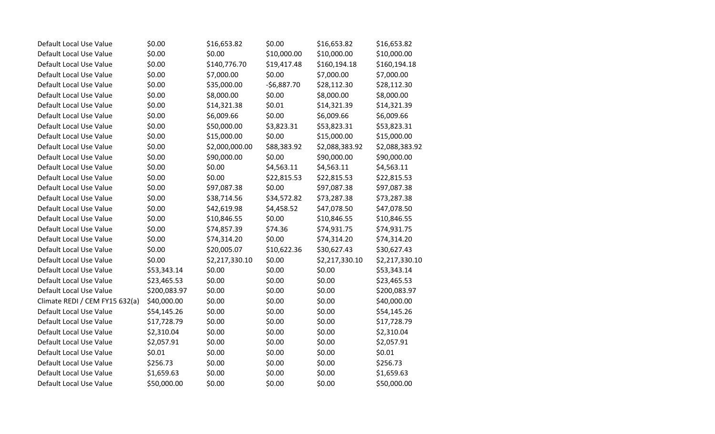| Default Local Use Value        | \$0.00       | \$16,653.82    | \$0.00       | \$16,653.82    | \$16,653.82    |
|--------------------------------|--------------|----------------|--------------|----------------|----------------|
| Default Local Use Value        | \$0.00       | \$0.00         | \$10,000.00  | \$10,000.00    | \$10,000.00    |
| Default Local Use Value        | \$0.00       | \$140,776.70   | \$19,417.48  | \$160,194.18   | \$160,194.18   |
| Default Local Use Value        | \$0.00       | \$7,000.00     | \$0.00       | \$7,000.00     | \$7,000.00     |
| Default Local Use Value        | \$0.00       | \$35,000.00    | $-56,887.70$ | \$28,112.30    | \$28,112.30    |
| Default Local Use Value        | \$0.00       | \$8,000.00     | \$0.00       | \$8,000.00     | \$8,000.00     |
| Default Local Use Value        | \$0.00       | \$14,321.38    | \$0.01       | \$14,321.39    | \$14,321.39    |
| Default Local Use Value        | \$0.00       | \$6,009.66     | \$0.00       | \$6,009.66     | \$6,009.66     |
| Default Local Use Value        | \$0.00       | \$50,000.00    | \$3,823.31   | \$53,823.31    | \$53,823.31    |
| Default Local Use Value        | \$0.00       | \$15,000.00    | \$0.00       | \$15,000.00    | \$15,000.00    |
| Default Local Use Value        | \$0.00       | \$2,000,000.00 | \$88,383.92  | \$2,088,383.92 | \$2,088,383.92 |
| Default Local Use Value        | \$0.00       | \$90,000.00    | \$0.00       | \$90,000.00    | \$90,000.00    |
| Default Local Use Value        | \$0.00       | \$0.00         | \$4,563.11   | \$4,563.11     | \$4,563.11     |
| Default Local Use Value        | \$0.00       | \$0.00         | \$22,815.53  | \$22,815.53    | \$22,815.53    |
| Default Local Use Value        | \$0.00       | \$97,087.38    | \$0.00       | \$97,087.38    | \$97,087.38    |
| Default Local Use Value        | \$0.00       | \$38,714.56    | \$34,572.82  | \$73,287.38    | \$73,287.38    |
| Default Local Use Value        | \$0.00       | \$42,619.98    | \$4,458.52   | \$47,078.50    | \$47,078.50    |
| Default Local Use Value        | \$0.00       | \$10,846.55    | \$0.00       | \$10,846.55    | \$10,846.55    |
| Default Local Use Value        | \$0.00       | \$74,857.39    | \$74.36      | \$74,931.75    | \$74,931.75    |
| Default Local Use Value        | \$0.00       | \$74,314.20    | \$0.00       | \$74,314.20    | \$74,314.20    |
| Default Local Use Value        | \$0.00       | \$20,005.07    | \$10,622.36  | \$30,627.43    | \$30,627.43    |
| Default Local Use Value        | \$0.00       | \$2,217,330.10 | \$0.00       | \$2,217,330.10 | \$2,217,330.10 |
| Default Local Use Value        | \$53,343.14  | \$0.00         | \$0.00       | \$0.00         | \$53,343.14    |
| Default Local Use Value        | \$23,465.53  | \$0.00         | \$0.00       | \$0.00         | \$23,465.53    |
| Default Local Use Value        | \$200,083.97 | \$0.00         | \$0.00       | \$0.00         | \$200,083.97   |
| Climate REDI / CEM FY15 632(a) | \$40,000.00  | \$0.00         | \$0.00       | \$0.00         | \$40,000.00    |
| Default Local Use Value        | \$54,145.26  | \$0.00         | \$0.00       | \$0.00         | \$54,145.26    |
| Default Local Use Value        | \$17,728.79  | \$0.00         | \$0.00       | \$0.00         | \$17,728.79    |
| Default Local Use Value        | \$2,310.04   | \$0.00         | \$0.00       | \$0.00         | \$2,310.04     |
| Default Local Use Value        | \$2,057.91   | \$0.00         | \$0.00       | \$0.00         | \$2,057.91     |
| Default Local Use Value        | \$0.01       | \$0.00         | \$0.00       | \$0.00         | \$0.01         |
| Default Local Use Value        | \$256.73     | \$0.00         | \$0.00       | \$0.00         | \$256.73       |
| Default Local Use Value        | \$1,659.63   | \$0.00         | \$0.00       | \$0.00         | \$1,659.63     |
| Default Local Use Value        | \$50,000.00  | \$0.00         | \$0.00       | \$0.00         | \$50,000.00    |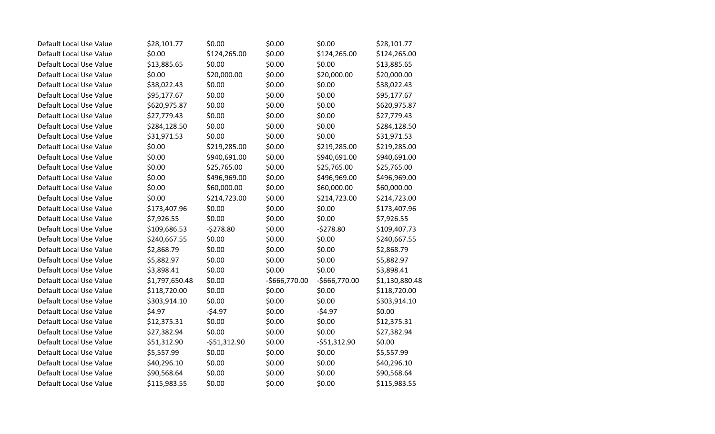| Default Local Use Value | \$28,101.77    | \$0.00        | \$0.00        | \$0.00         | \$28,101.77    |
|-------------------------|----------------|---------------|---------------|----------------|----------------|
| Default Local Use Value | \$0.00         | \$124,265.00  | \$0.00        | \$124,265.00   | \$124,265.00   |
| Default Local Use Value | \$13,885.65    | \$0.00        | \$0.00        | \$0.00         | \$13,885.65    |
| Default Local Use Value | \$0.00         | \$20,000.00   | \$0.00        | \$20,000.00    | \$20,000.00    |
| Default Local Use Value | \$38,022.43    | \$0.00        | \$0.00        | \$0.00         | \$38,022.43    |
| Default Local Use Value | \$95,177.67    | \$0.00        | \$0.00        | \$0.00         | \$95,177.67    |
| Default Local Use Value | \$620,975.87   | \$0.00        | \$0.00        | \$0.00         | \$620,975.87   |
| Default Local Use Value | \$27,779.43    | \$0.00        | \$0.00        | \$0.00         | \$27,779.43    |
| Default Local Use Value | \$284,128.50   | \$0.00        | \$0.00        | \$0.00         | \$284,128.50   |
| Default Local Use Value | \$31,971.53    | \$0.00        | \$0.00        | \$0.00         | \$31,971.53    |
| Default Local Use Value | \$0.00         | \$219,285.00  | \$0.00        | \$219,285.00   | \$219,285.00   |
| Default Local Use Value | \$0.00         | \$940,691.00  | \$0.00        | \$940,691.00   | \$940,691.00   |
| Default Local Use Value | \$0.00         | \$25,765.00   | \$0.00        | \$25,765.00    | \$25,765.00    |
| Default Local Use Value | \$0.00         | \$496,969.00  | \$0.00        | \$496,969.00   | \$496,969.00   |
| Default Local Use Value | \$0.00         | \$60,000.00   | \$0.00        | \$60,000.00    | \$60,000.00    |
| Default Local Use Value | \$0.00         | \$214,723.00  | \$0.00        | \$214,723.00   | \$214,723.00   |
| Default Local Use Value | \$173,407.96   | \$0.00        | \$0.00        | \$0.00         | \$173,407.96   |
| Default Local Use Value | \$7,926.55     | \$0.00        | \$0.00        | \$0.00         | \$7,926.55     |
| Default Local Use Value | \$109,686.53   | $-5278.80$    | \$0.00        | $-5278.80$     | \$109,407.73   |
| Default Local Use Value | \$240,667.55   | \$0.00        | \$0.00        | \$0.00         | \$240,667.55   |
| Default Local Use Value | \$2,868.79     | \$0.00        | \$0.00        | \$0.00         | \$2,868.79     |
| Default Local Use Value | \$5,882.97     | \$0.00        | \$0.00        | \$0.00         | \$5,882.97     |
| Default Local Use Value | \$3,898.41     | \$0.00        | \$0.00        | \$0.00         | \$3,898.41     |
| Default Local Use Value | \$1,797,650.48 | \$0.00        | -\$666,770.00 | $-$666,770.00$ | \$1,130,880.48 |
| Default Local Use Value | \$118,720.00   | \$0.00        | \$0.00        | \$0.00         | \$118,720.00   |
| Default Local Use Value | \$303,914.10   | \$0.00        | \$0.00        | \$0.00         | \$303,914.10   |
| Default Local Use Value | \$4.97         | $-54.97$      | \$0.00        | $-54.97$       | \$0.00         |
| Default Local Use Value | \$12,375.31    | \$0.00        | \$0.00        | \$0.00         | \$12,375.31    |
| Default Local Use Value | \$27,382.94    | \$0.00        | \$0.00        | \$0.00         | \$27,382.94    |
| Default Local Use Value | \$51,312.90    | $-551,312.90$ | \$0.00        | $-551,312.90$  | \$0.00         |
| Default Local Use Value | \$5,557.99     | \$0.00        | \$0.00        | \$0.00         | \$5,557.99     |
| Default Local Use Value | \$40,296.10    | \$0.00        | \$0.00        | \$0.00         | \$40,296.10    |
| Default Local Use Value | \$90,568.64    | \$0.00        | \$0.00        | \$0.00         | \$90,568.64    |
| Default Local Use Value | \$115,983.55   | \$0.00        | \$0.00        | \$0.00         | \$115,983.55   |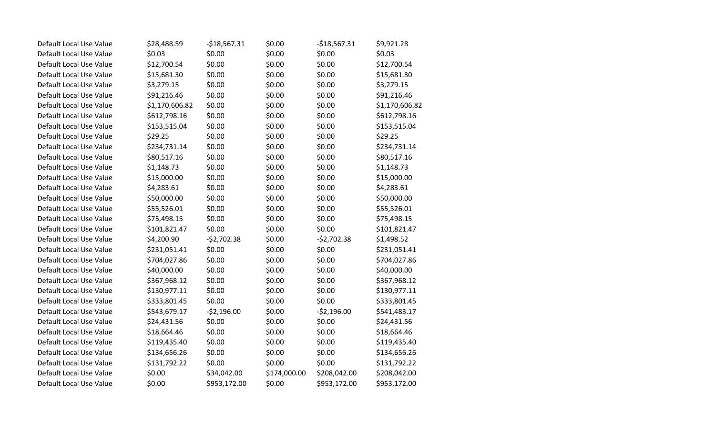| Default Local Use Value | \$28,488.59    | $-$18,567.31$ | \$0.00       | $-$18,567.31$ | \$9,921.28     |
|-------------------------|----------------|---------------|--------------|---------------|----------------|
| Default Local Use Value | \$0.03         | \$0.00        | \$0.00       | \$0.00        | \$0.03         |
| Default Local Use Value | \$12,700.54    | \$0.00        | \$0.00       | \$0.00        | \$12,700.54    |
| Default Local Use Value | \$15,681.30    | \$0.00        | \$0.00       | \$0.00        | \$15,681.30    |
| Default Local Use Value | \$3,279.15     | \$0.00        | \$0.00       | \$0.00        | \$3,279.15     |
| Default Local Use Value | \$91,216.46    | \$0.00        | \$0.00       | \$0.00        | \$91,216.46    |
| Default Local Use Value | \$1,170,606.82 | \$0.00        | \$0.00       | \$0.00        | \$1,170,606.82 |
| Default Local Use Value | \$612,798.16   | \$0.00        | \$0.00       | \$0.00        | \$612,798.16   |
| Default Local Use Value | \$153,515.04   | \$0.00        | \$0.00       | \$0.00        | \$153,515.04   |
| Default Local Use Value | \$29.25        | \$0.00        | \$0.00       | \$0.00        | \$29.25        |
| Default Local Use Value | \$234,731.14   | \$0.00        | \$0.00       | \$0.00        | \$234,731.14   |
| Default Local Use Value | \$80,517.16    | \$0.00        | \$0.00       | \$0.00        | \$80,517.16    |
| Default Local Use Value | \$1,148.73     | \$0.00        | \$0.00       | \$0.00        | \$1,148.73     |
| Default Local Use Value | \$15,000.00    | \$0.00        | \$0.00       | \$0.00        | \$15,000.00    |
| Default Local Use Value | \$4,283.61     | \$0.00        | \$0.00       | \$0.00        | \$4,283.61     |
| Default Local Use Value | \$50,000.00    | \$0.00        | \$0.00       | \$0.00        | \$50,000.00    |
| Default Local Use Value | \$55,526.01    | \$0.00        | \$0.00       | \$0.00        | \$55,526.01    |
| Default Local Use Value | \$75,498.15    | \$0.00        | \$0.00       | \$0.00        | \$75,498.15    |
| Default Local Use Value | \$101,821.47   | \$0.00        | \$0.00       | \$0.00        | \$101,821.47   |
| Default Local Use Value | \$4,200.90     | $-52,702.38$  | \$0.00       | $-$2,702.38$  | \$1,498.52     |
| Default Local Use Value | \$231,051.41   | \$0.00        | \$0.00       | \$0.00        | \$231,051.41   |
| Default Local Use Value | \$704,027.86   | \$0.00        | \$0.00       | \$0.00        | \$704,027.86   |
| Default Local Use Value | \$40,000.00    | \$0.00        | \$0.00       | \$0.00        | \$40,000.00    |
| Default Local Use Value | \$367,968.12   | \$0.00        | \$0.00       | \$0.00        | \$367,968.12   |
| Default Local Use Value | \$130,977.11   | \$0.00        | \$0.00       | \$0.00        | \$130,977.11   |
| Default Local Use Value | \$333,801.45   | \$0.00        | \$0.00       | \$0.00        | \$333,801.45   |
| Default Local Use Value | \$543,679.17   | $-52,196.00$  | \$0.00       | $-52,196.00$  | \$541,483.17   |
| Default Local Use Value | \$24,431.56    | \$0.00        | \$0.00       | \$0.00        | \$24,431.56    |
| Default Local Use Value | \$18,664.46    | \$0.00        | \$0.00       | \$0.00        | \$18,664.46    |
| Default Local Use Value | \$119,435.40   | \$0.00        | \$0.00       | \$0.00        | \$119,435.40   |
| Default Local Use Value | \$134,656.26   | \$0.00        | \$0.00       | \$0.00        | \$134,656.26   |
| Default Local Use Value | \$131,792.22   | \$0.00        | \$0.00       | \$0.00        | \$131,792.22   |
| Default Local Use Value | \$0.00         | \$34,042.00   | \$174,000.00 | \$208,042.00  | \$208,042.00   |
| Default Local Use Value | \$0.00         | \$953,172.00  | \$0.00       | \$953,172.00  | \$953,172.00   |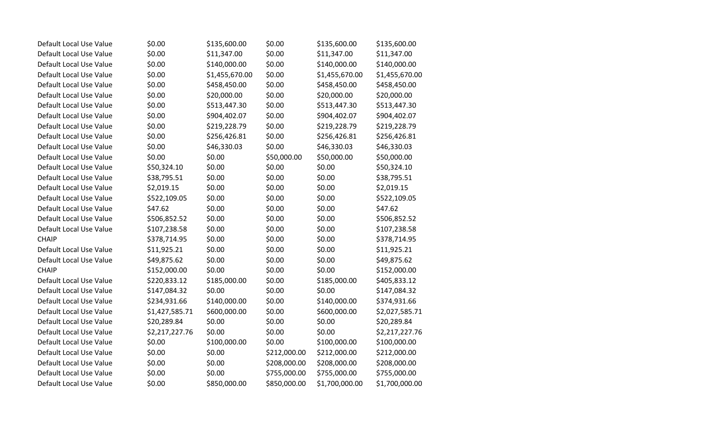| Default Local Use Value | \$0.00         | \$135,600.00   | \$0.00       | \$135,600.00   | \$135,600.00   |
|-------------------------|----------------|----------------|--------------|----------------|----------------|
| Default Local Use Value | \$0.00         | \$11,347.00    | \$0.00       | \$11,347.00    | \$11,347.00    |
| Default Local Use Value | \$0.00         | \$140,000.00   | \$0.00       | \$140,000.00   | \$140,000.00   |
| Default Local Use Value | \$0.00         | \$1,455,670.00 | \$0.00       | \$1,455,670.00 | \$1,455,670.00 |
| Default Local Use Value | \$0.00         | \$458,450.00   | \$0.00       | \$458,450.00   | \$458,450.00   |
| Default Local Use Value | \$0.00         | \$20,000.00    | \$0.00       | \$20,000.00    | \$20,000.00    |
| Default Local Use Value | \$0.00         | \$513,447.30   | \$0.00       | \$513,447.30   | \$513,447.30   |
| Default Local Use Value | \$0.00         | \$904,402.07   | \$0.00       | \$904,402.07   | \$904,402.07   |
| Default Local Use Value | \$0.00         | \$219,228.79   | \$0.00       | \$219,228.79   | \$219,228.79   |
| Default Local Use Value | \$0.00         | \$256,426.81   | \$0.00       | \$256,426.81   | \$256,426.81   |
| Default Local Use Value | \$0.00         | \$46,330.03    | \$0.00       | \$46,330.03    | \$46,330.03    |
| Default Local Use Value | \$0.00         | \$0.00         | \$50,000.00  | \$50,000.00    | \$50,000.00    |
| Default Local Use Value | \$50,324.10    | \$0.00         | \$0.00       | \$0.00         | \$50,324.10    |
| Default Local Use Value | \$38,795.51    | \$0.00         | \$0.00       | \$0.00         | \$38,795.51    |
| Default Local Use Value | \$2,019.15     | \$0.00         | \$0.00       | \$0.00         | \$2,019.15     |
| Default Local Use Value | \$522,109.05   | \$0.00         | \$0.00       | \$0.00         | \$522,109.05   |
| Default Local Use Value | \$47.62        | \$0.00         | \$0.00       | \$0.00         | \$47.62        |
| Default Local Use Value | \$506,852.52   | \$0.00         | \$0.00       | \$0.00         | \$506,852.52   |
| Default Local Use Value | \$107,238.58   | \$0.00         | \$0.00       | \$0.00         | \$107,238.58   |
| <b>CHAIP</b>            | \$378,714.95   | \$0.00         | \$0.00       | \$0.00         | \$378,714.95   |
| Default Local Use Value | \$11,925.21    | \$0.00         | \$0.00       | \$0.00         | \$11,925.21    |
| Default Local Use Value | \$49,875.62    | \$0.00         | \$0.00       | \$0.00         | \$49,875.62    |
| <b>CHAIP</b>            | \$152,000.00   | \$0.00         | \$0.00       | \$0.00         | \$152,000.00   |
| Default Local Use Value | \$220,833.12   | \$185,000.00   | \$0.00       | \$185,000.00   | \$405,833.12   |
| Default Local Use Value | \$147,084.32   | \$0.00         | \$0.00       | \$0.00         | \$147,084.32   |
| Default Local Use Value | \$234,931.66   | \$140,000.00   | \$0.00       | \$140,000.00   | \$374,931.66   |
| Default Local Use Value | \$1,427,585.71 | \$600,000.00   | \$0.00       | \$600,000.00   | \$2,027,585.71 |
| Default Local Use Value | \$20,289.84    | \$0.00         | \$0.00       | \$0.00         | \$20,289.84    |
| Default Local Use Value | \$2,217,227.76 | \$0.00         | \$0.00       | \$0.00         | \$2,217,227.76 |
| Default Local Use Value | \$0.00         | \$100,000.00   | \$0.00       | \$100,000.00   | \$100,000.00   |
| Default Local Use Value | \$0.00         | \$0.00         | \$212,000.00 | \$212,000.00   | \$212,000.00   |
| Default Local Use Value | \$0.00         | \$0.00         | \$208,000.00 | \$208,000.00   | \$208,000.00   |
| Default Local Use Value | \$0.00         | \$0.00         | \$755,000.00 | \$755,000.00   | \$755,000.00   |
| Default Local Use Value | \$0.00         | \$850,000.00   | \$850,000.00 | \$1,700,000.00 | \$1,700,000.00 |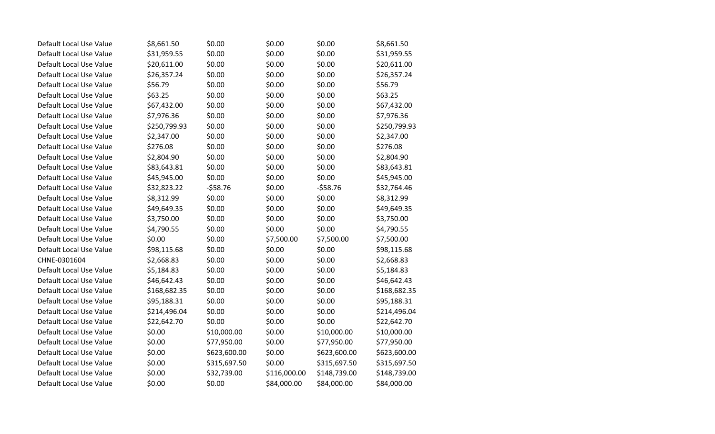| Default Local Use Value | \$8,661.50   | \$0.00       | \$0.00       | \$0.00       | \$8,661.50   |
|-------------------------|--------------|--------------|--------------|--------------|--------------|
| Default Local Use Value | \$31,959.55  | \$0.00       | \$0.00       | \$0.00       | \$31,959.55  |
| Default Local Use Value | \$20,611.00  | \$0.00       | \$0.00       | \$0.00       | \$20,611.00  |
| Default Local Use Value | \$26,357.24  | \$0.00       | \$0.00       | \$0.00       | \$26,357.24  |
| Default Local Use Value | \$56.79      | \$0.00       | \$0.00       | \$0.00       | \$56.79      |
| Default Local Use Value | \$63.25      | \$0.00       | \$0.00       | \$0.00       | \$63.25      |
| Default Local Use Value | \$67,432.00  | \$0.00       | \$0.00       | \$0.00       | \$67,432.00  |
| Default Local Use Value | \$7,976.36   | \$0.00       | \$0.00       | \$0.00       | \$7,976.36   |
| Default Local Use Value | \$250,799.93 | \$0.00       | \$0.00       | \$0.00       | \$250,799.93 |
| Default Local Use Value | \$2,347.00   | \$0.00       | \$0.00       | \$0.00       | \$2,347.00   |
| Default Local Use Value | \$276.08     | \$0.00       | \$0.00       | \$0.00       | \$276.08     |
| Default Local Use Value | \$2,804.90   | \$0.00       | \$0.00       | \$0.00       | \$2,804.90   |
| Default Local Use Value | \$83,643.81  | \$0.00       | \$0.00       | \$0.00       | \$83,643.81  |
| Default Local Use Value | \$45,945.00  | \$0.00       | \$0.00       | \$0.00       | \$45,945.00  |
| Default Local Use Value | \$32,823.22  | $-558.76$    | \$0.00       | $-558.76$    | \$32,764.46  |
| Default Local Use Value | \$8,312.99   | \$0.00       | \$0.00       | \$0.00       | \$8,312.99   |
| Default Local Use Value | \$49,649.35  | \$0.00       | \$0.00       | \$0.00       | \$49,649.35  |
| Default Local Use Value | \$3,750.00   | \$0.00       | \$0.00       | \$0.00       | \$3,750.00   |
| Default Local Use Value | \$4,790.55   | \$0.00       | \$0.00       | \$0.00       | \$4,790.55   |
| Default Local Use Value | \$0.00       | \$0.00       | \$7,500.00   | \$7,500.00   | \$7,500.00   |
| Default Local Use Value | \$98,115.68  | \$0.00       | \$0.00       | \$0.00       | \$98,115.68  |
| CHNE-0301604            | \$2,668.83   | \$0.00       | \$0.00       | \$0.00       | \$2,668.83   |
| Default Local Use Value | \$5,184.83   | \$0.00       | \$0.00       | \$0.00       | \$5,184.83   |
| Default Local Use Value | \$46,642.43  | \$0.00       | \$0.00       | \$0.00       | \$46,642.43  |
| Default Local Use Value | \$168,682.35 | \$0.00       | \$0.00       | \$0.00       | \$168,682.35 |
| Default Local Use Value | \$95,188.31  | \$0.00       | \$0.00       | \$0.00       | \$95,188.31  |
| Default Local Use Value | \$214,496.04 | \$0.00       | \$0.00       | \$0.00       | \$214,496.04 |
| Default Local Use Value | \$22,642.70  | \$0.00       | \$0.00       | \$0.00       | \$22,642.70  |
| Default Local Use Value | \$0.00       | \$10,000.00  | \$0.00       | \$10,000.00  | \$10,000.00  |
| Default Local Use Value | \$0.00       | \$77,950.00  | \$0.00       | \$77,950.00  | \$77,950.00  |
| Default Local Use Value | \$0.00       | \$623,600.00 | \$0.00       | \$623,600.00 | \$623,600.00 |
| Default Local Use Value | \$0.00       | \$315,697.50 | \$0.00       | \$315,697.50 | \$315,697.50 |
| Default Local Use Value | \$0.00       | \$32,739.00  | \$116,000.00 | \$148,739.00 | \$148,739.00 |
| Default Local Use Value | \$0.00       | \$0.00       | \$84,000.00  | \$84,000.00  | \$84,000.00  |